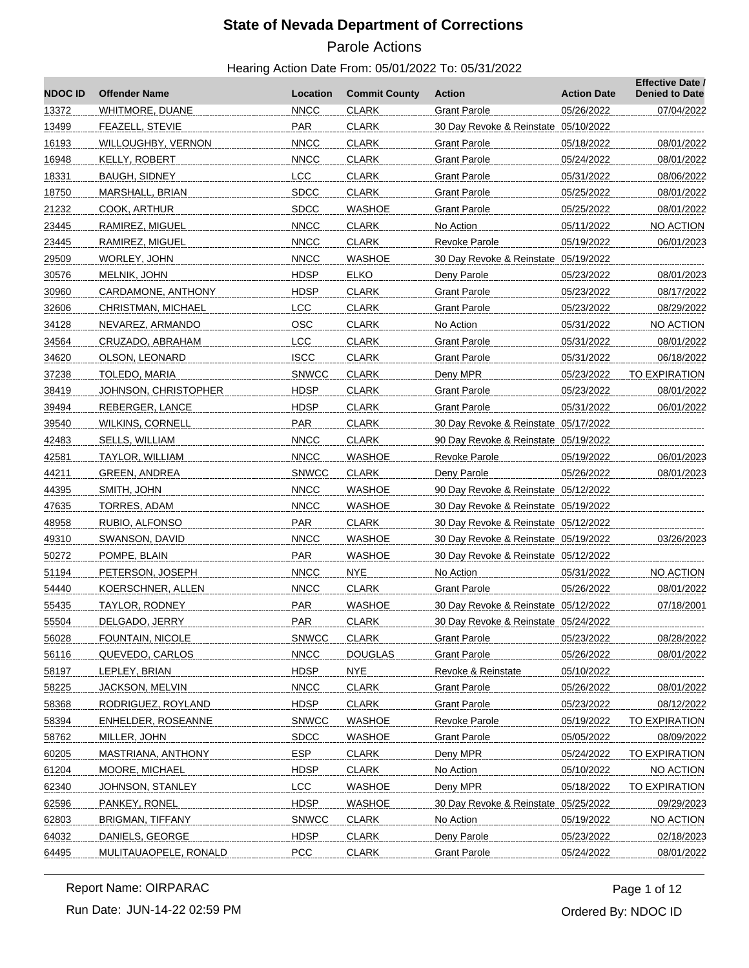# Parole Actions

| <b>NDOC ID</b> | <b>Offender Name</b>    | Location     | <b>Commit County</b> | <b>Action</b>                        | <b>Action Date</b> | <b>Effective Date /</b><br><b>Denied to Date</b> |
|----------------|-------------------------|--------------|----------------------|--------------------------------------|--------------------|--------------------------------------------------|
| 13372          | WHITMORE, DUANE         | <b>NNCC</b>  | <b>CLARK</b>         | <b>Grant Parole</b>                  | 05/26/2022         | 07/04/2022                                       |
| 13499          | FEAZELL, STEVIE         | PAR          | <b>CLARK</b>         | 30 Day Revoke & Reinstate 05/10/2022 |                    |                                                  |
| 16193          | WILLOUGHBY, VERNON      | <b>NNCC</b>  | <b>CLARK</b>         | <b>Grant Parole</b>                  | 05/18/2022         | 08/01/2022                                       |
| 16948          | KELLY, ROBERT           | <b>NNCC</b>  | <b>CLARK</b>         | Grant Parole                         | 05/24/2022         | 08/01/2022                                       |
| 18331          | BAUGH, SIDNEY           | <b>LCC</b>   | CLARK                | <b>Grant Parole</b>                  | 05/31/2022         | 08/06/2022                                       |
| 18750          | MARSHALL, BRIAN         | <b>SDCC</b>  | <b>CLARK</b>         | <b>Grant Parole</b>                  | 05/25/2022         | 08/01/2022                                       |
| 21232          | COOK, ARTHUR            | <b>SDCC</b>  | WASHOE               | Grant Parole                         | 05/25/2022         | 08/01/2022                                       |
| 23445          | RAMIREZ, MIGUEL         | <b>NNCC</b>  | <b>CLARK</b>         | No Action                            | 05/11/2022         | NO ACTION                                        |
| 23445          | RAMIREZ, MIGUEL         | <b>NNCC</b>  | <b>CLARK</b>         | Revoke Parole                        | 05/19/2022         | 06/01/2023                                       |
| 29509          | WORLEY, JOHN            | <b>NNCC</b>  | <b>WASHOE</b>        | 30 Day Revoke & Reinstate 05/19/2022 |                    |                                                  |
| 30576          | MELNIK, JOHN            | <b>HDSP</b>  | <b>ELKO</b>          | Deny Parole                          | 05/23/2022         | 08/01/2023                                       |
| 30960          | CARDAMONE, ANTHONY      | <b>HDSP</b>  | <b>CLARK</b>         | Grant Parole                         | 05/23/2022         | 08/17/2022                                       |
| 32606          | CHRISTMAN, MICHAEL      | <b>LCC</b>   | CLARK                | <b>Grant Parole</b>                  | 05/23/2022         | 08/29/2022                                       |
| 34128          | NEVAREZ, ARMANDO        | <b>OSC</b>   | <b>CLARK</b>         | No Action                            | 05/31/2022         | NO ACTION                                        |
| 34564          | CRUZADO, ABRAHAM        | LCC          | <b>CLARK</b>         | <b>Grant Parole</b>                  | 05/31/2022         | 08/01/2022                                       |
| 34620          | OLSON, LEONARD          | <b>ISCC</b>  | <b>CLARK</b>         | Grant Parole                         | 05/31/2022         | 06/18/2022                                       |
| 37238          | TOLEDO, MARIA           | <b>SNWCC</b> | <b>CLARK</b>         | Deny MPR                             | 05/23/2022         | TO EXPIRATION                                    |
| 38419          | JOHNSON, CHRISTOPHER    | <b>HDSP</b>  | <b>CLARK</b>         | <b>Grant Parole</b>                  | 05/23/2022         | 08/01/2022                                       |
| 39494          | REBERGER, LANCE         | <b>HDSP</b>  | <b>CLARK</b>         | <b>Grant Parole</b>                  | 05/31/2022         | 06/01/2022                                       |
| 39540          | WILKINS, CORNELL        | <b>PAR</b>   | CLARK                | 30 Day Revoke & Reinstate 05/17/2022 |                    |                                                  |
| 42483          | SELLS, WILLIAM          | <b>NNCC</b>  | <b>CLARK</b>         | 90 Day Revoke & Reinstate 05/19/2022 |                    |                                                  |
| 42581          | TAYLOR, WILLIAM         | <b>NNCC</b>  | WASHOE               | Revoke Parole                        | 05/19/2022         | 06/01/2023                                       |
| 44211          | <b>GREEN, ANDREA</b>    | <b>SNWCC</b> | <b>CLARK</b>         | Deny Parole                          | 05/26/2022         | 08/01/2023                                       |
| 44395          | SMITH, JOHN             | <b>NNCC</b>  | WASHOE               | 90 Day Revoke & Reinstate 05/12/2022 |                    |                                                  |
| 47635          | TORRES, ADAM            | <b>NNCC</b>  | WASHOE               | 30 Day Revoke & Reinstate 05/19/2022 |                    |                                                  |
| 48958          | RUBIO, ALFONSO          | PAR          | <b>CLARK</b>         | 30 Day Revoke & Reinstate 05/12/2022 |                    |                                                  |
| 49310          | SWANSON, DAVID          | <b>NNCC</b>  | WASHOE               | 30 Day Revoke & Reinstate 05/19/2022 |                    | 03/26/2023                                       |
| 50272          | POMPE, BLAIN            | <b>PAR</b>   | WASHOE               | 30 Day Revoke & Reinstate 05/12/2022 |                    |                                                  |
| 51194          | PETERSON, JOSEPH        | <b>NNCC</b>  | <b>NYE</b>           | No Action                            | 05/31/2022         | NO ACTION                                        |
| 54440          | KOERSCHNER, ALLEN       | <b>NNCC</b>  | <b>CLARK</b>         | <b>Grant Parole</b>                  | 05/26/2022         | 08/01/2022                                       |
| 55435          | TAYLOR, RODNEY          | <b>PAR</b>   | WASHOE               | 30 Day Revoke & Reinstate 05/12/2022 |                    | 07/18/2001                                       |
| 55504          | DELGADO, JERRY          | PAR          | <b>CLARK</b>         | 30 Day Revoke & Reinstate 05/24/2022 |                    |                                                  |
| 56028          | FOUNTAIN, NICOLE        | <b>SNWCC</b> | <b>CLARK</b>         | <b>Grant Parole</b>                  | 05/23/2022         | 08/28/2022                                       |
| 56116          | QUEVEDO, CARLOS         | <b>NNCC</b>  | <b>DOUGLAS</b>       | <b>Grant Parole</b>                  | 05/26/2022         | 08/01/2022                                       |
| 58197          | LEPLEY, BRIAN           | <b>HDSP</b>  | <b>NYE</b>           | Revoke & Reinstate                   | 05/10/2022         |                                                  |
| 58225          | JACKSON, MELVIN         | <b>NNCC</b>  | <b>CLARK</b>         | <b>Grant Parole</b>                  | 05/26/2022         | 08/01/2022                                       |
| 58368          | RODRIGUEZ, ROYLAND      | <b>HDSP</b>  | <b>CLARK</b>         | <b>Grant Parole</b>                  | 05/23/2022         | 08/12/2022                                       |
| 58394          | ENHELDER, ROSEANNE      | <b>SNWCC</b> | <b>WASHOE</b>        | Revoke Parole                        | 05/19/2022         | TO EXPIRATION                                    |
| 58762          | MILLER, JOHN            | <b>SDCC</b>  | <b>WASHOE</b>        | <b>Grant Parole</b>                  | 05/05/2022         | 08/09/2022                                       |
| 60205          | MASTRIANA, ANTHONY      | <b>ESP</b>   | <b>CLARK</b>         | Deny MPR                             | 05/24/2022         | TO EXPIRATION                                    |
| 61204          | MOORE, MICHAEL          | <b>HDSP</b>  | <b>CLARK</b>         | No Action                            | 05/10/2022         | NO ACTION                                        |
| 62340          | JOHNSON, STANLEY        | <b>LCC</b>   | WASHOE               | Deny MPR                             | 05/18/2022         | <b>TO EXPIRATION</b>                             |
| 62596          | PANKEY, RONEL           | <b>HDSP</b>  | <b>WASHOE</b>        | 30 Day Revoke & Reinstate 05/25/2022 |                    | 09/29/2023                                       |
| 62803          | <b>BRIGMAN, TIFFANY</b> | <b>SNWCC</b> | <b>CLARK</b>         | No Action                            | 05/19/2022         | NO ACTION                                        |
| 64032          | DANIELS, GEORGE         | <b>HDSP</b>  | <b>CLARK</b>         | Deny Parole                          | 05/23/2022         | 02/18/2023                                       |
| 64495          | MULITAUAOPELE, RONALD   | PCC          | <b>CLARK</b>         | <b>Grant Parole</b>                  | 05/24/2022         | 08/01/2022                                       |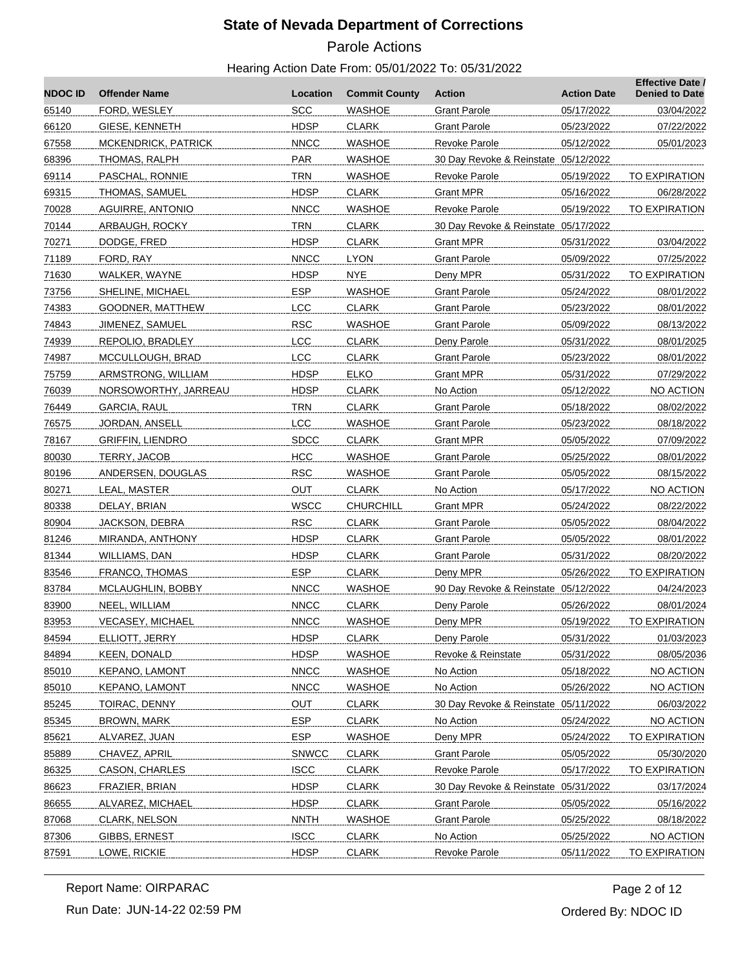# Parole Actions

| <b>NDOC ID</b> | <b>Offender Name</b>    | Location     | <b>Commit County</b> | <b>Action</b>                        | <b>Action Date</b> | <b>Effective Date /</b><br><b>Denied to Date</b> |
|----------------|-------------------------|--------------|----------------------|--------------------------------------|--------------------|--------------------------------------------------|
| 65140          | FORD, WESLEY            | <b>SCC</b>   | WASHOE               | <b>Grant Parole</b>                  | 05/17/2022         | 03/04/2022                                       |
| 66120          | GIESE, KENNETH          | <b>HDSP</b>  | <b>CLARK</b>         | <b>Grant Parole</b>                  | 05/23/2022         | 07/22/2022                                       |
| 67558          | MCKENDRICK, PATRICK     | <b>NNCC</b>  | WASHOE               | Revoke Parole                        | 05/12/2022         | 05/01/2023                                       |
| 68396          | THOMAS, RALPH           | <b>PAR</b>   | WASHOE               | 30 Day Revoke & Reinstate 05/12/2022 |                    |                                                  |
| 69114          | PASCHAL, RONNIE         | <b>TRN</b>   | WASHOE               | Revoke Parole                        | 05/19/2022         | TO EXPIRATION                                    |
| 69315          | THOMAS, SAMUEL          | <b>HDSP</b>  | <b>CLARK</b>         | <b>Grant MPR</b>                     | 05/16/2022         | 06/28/2022                                       |
| 70028          | AGUIRRE, ANTONIO        | <b>NNCC</b>  | <b>WASHOE</b>        | Revoke Parole                        | 05/19/2022         | TO EXPIRATION                                    |
| 70144          | ARBAUGH, ROCKY          | <b>TRN</b>   | <b>CLARK</b>         | 30 Day Revoke & Reinstate 05/17/2022 |                    |                                                  |
| 70271          | DODGE, FRED             | <b>HDSP</b>  | <b>CLARK</b>         | <b>Grant MPR</b>                     | 05/31/2022         | 03/04/2022                                       |
| 71189          | FORD, RAY               | <b>NNCC</b>  | <b>LYON</b>          | <b>Grant Parole</b>                  | 05/09/2022         | 07/25/2022                                       |
| 71630          | WALKER, WAYNE           | <b>HDSP</b>  | <b>NYE</b>           | Deny MPR                             | 05/31/2022         | TO EXPIRATION                                    |
| 73756          | SHELINE, MICHAEL        | <b>ESP</b>   | <b>WASHOE</b>        | <b>Grant Parole</b>                  | 05/24/2022         | 08/01/2022                                       |
| 74383          | GOODNER, MATTHEW        | <b>LCC</b>   | <b>CLARK</b>         | <b>Grant Parole</b>                  | 05/23/2022         | 08/01/2022                                       |
| 74843          | JIMENEZ, SAMUEL         | <b>RSC</b>   | <b>WASHOE</b>        | <b>Grant Parole</b>                  | 05/09/2022         | 08/13/2022                                       |
| 74939          | REPOLIO, BRADLEY        | LCC          | <b>CLARK</b>         | Deny Parole                          | 05/31/2022         | 08/01/2025                                       |
| 74987          | MCCULLOUGH, BRAD        | <b>LCC</b>   | <b>CLARK</b>         | <b>Grant Parole</b>                  | 05/23/2022         | 08/01/2022                                       |
| 75759          | ARMSTRONG, WILLIAM      | <b>HDSP</b>  | <b>ELKO</b>          | <b>Grant MPR</b>                     | 05/31/2022         | 07/29/2022                                       |
| 76039          | NORSOWORTHY, JARREAU    | <b>HDSP</b>  | <b>CLARK</b>         | No Action                            | 05/12/2022         | NO ACTION                                        |
| 76449          | GARCIA, RAUL            | <b>TRN</b>   | <b>CLARK</b>         | <b>Grant Parole</b>                  | 05/18/2022         | 08/02/2022                                       |
| 76575          | JORDAN, ANSELL          | <b>LCC</b>   | WASHOE               | Grant Parole                         | 05/23/2022         | 08/18/2022                                       |
| 78167          | <b>GRIFFIN, LIENDRO</b> | <b>SDCC</b>  | <b>CLARK</b>         | <b>Grant MPR</b>                     | 05/05/2022         | 07/09/2022                                       |
| 80030          | TERRY, JACOB            | HCC          | <b>WASHOE</b>        | <b>Grant Parole</b>                  | 05/25/2022         | 08/01/2022                                       |
| 80196          | ANDERSEN, DOUGLAS       | <b>RSC</b>   | <b>WASHOE</b>        | <b>Grant Parole</b>                  | 05/05/2022         | 08/15/2022                                       |
| 80271          | LEAL, MASTER            | <b>OUT</b>   | <b>CLARK</b>         | No Action                            | 05/17/2022         | NO ACTION                                        |
| 80338          | DELAY, BRIAN            | <b>WSCC</b>  | <b>CHURCHILL</b>     | <b>Grant MPR</b>                     | 05/24/2022         | 08/22/2022                                       |
| 80904          | JACKSON, DEBRA          | <b>RSC</b>   | <b>CLARK</b>         | <b>Grant Parole</b>                  | 05/05/2022         | 08/04/2022                                       |
| 81246          | MIRANDA, ANTHONY        | <b>HDSP</b>  | <b>CLARK</b>         | <b>Grant Parole</b>                  | 05/05/2022         | 08/01/2022                                       |
| 81344          | WILLIAMS, DAN           | <b>HDSP</b>  | <b>CLARK</b>         | <b>Grant Parole</b>                  | 05/31/2022         | 08/20/2022                                       |
| 83546          | FRANCO, THOMAS          | <b>ESP</b>   | <b>CLARK</b>         | Deny MPR                             | 05/26/2022         | TO EXPIRATION                                    |
| 83784          | MCLAUGHLIN, BOBBY       | <b>NNCC</b>  | <b>WASHOE</b>        | 90 Day Revoke & Reinstate 05/12/2022 |                    | 04/24/2023                                       |
| 83900          | NEEL, WILLIAM           | <b>NNCC</b>  | <b>CLARK</b>         | Deny Parole                          | 05/26/2022         | 08/01/2024                                       |
| 83953          | <b>VECASEY, MICHAEL</b> | <b>NNCC</b>  | <b>WASHOE</b>        | Deny MPR                             | 05/19/2022         | <u>TO EXPIRATION</u>                             |
| 84594          | ELLIOTT, JERRY          | <b>HDSP</b>  | <b>CLARK</b>         | Deny Parole                          | 05/31/2022         | 01/03/2023                                       |
| 84894          | <b>KEEN, DONALD</b>     | <b>HDSP</b>  | WASHOE               | Revoke & Reinstate                   | 05/31/2022         | 08/05/2036                                       |
| 85010          | <b>KEPANO, LAMONT</b>   | <b>NNCC</b>  | <b>WASHOE</b>        | No Action                            | 05/18/2022         | NO ACTION                                        |
| 85010          | KEPANO, LAMONT          | <b>NNCC</b>  | <b>WASHOE</b>        | No Action                            | 05/26/2022         | NO ACTION                                        |
| 85245          | TOIRAC, DENNY           | <b>OUT</b>   | <b>CLARK</b>         | 30 Day Revoke & Reinstate 05/11/2022 |                    | 06/03/2022                                       |
| 85345          | <b>BROWN, MARK</b>      | <b>ESP</b>   | <b>CLARK</b>         | No Action                            | 05/24/2022         | NO ACTION                                        |
| 85621          | ALVAREZ, JUAN           | <b>ESP</b>   | <b>WASHOE</b>        | Deny MPR                             | 05/24/2022         | <b>TO EXPIRATION</b>                             |
| 85889          | CHAVEZ, APRIL           | <b>SNWCC</b> | <b>CLARK</b>         | <b>Grant Parole</b>                  | 05/05/2022         | 05/30/2020                                       |
| 86325          | CASON, CHARLES          | <b>ISCC</b>  | <b>CLARK</b>         | <b>Revoke Parole</b>                 | 05/17/2022         | <b>TO EXPIRATION</b>                             |
| 86623          | FRAZIER, BRIAN          | <b>HDSP</b>  | <b>CLARK</b>         | 30 Day Revoke & Reinstate 05/31/2022 |                    | 03/17/2024                                       |
| 86655          | ALVAREZ, MICHAEL        | <b>HDSP</b>  | <b>CLARK</b>         | <b>Grant Parole</b>                  | 05/05/2022         | 05/16/2022                                       |
| 87068          | CLARK, NELSON           | <b>NNTH</b>  | <b>WASHOE</b>        | <b>Grant Parole</b>                  | 05/25/2022         | 08/18/2022                                       |
| 87306          | GIBBS, ERNEST           | <b>ISCC</b>  | <b>CLARK</b>         | No Action                            | 05/25/2022         | NO ACTION                                        |
| 87591          | LOWE, RICKIE            | <b>HDSP</b>  | <b>CLARK</b>         | <b>Revoke Parole</b>                 | 05/11/2022         | TO EXPIRATION                                    |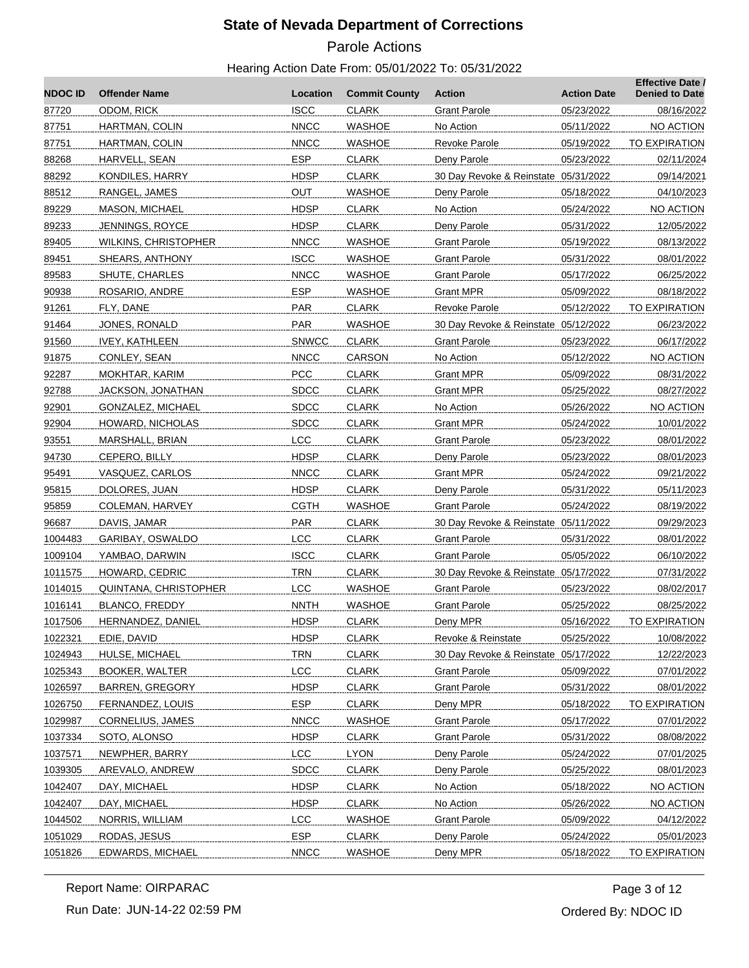# Parole Actions

| <b>ISCC</b><br>87720<br>ODOM, RICK<br><b>CLARK</b><br>05/23/2022<br><b>Grant Parole</b><br><b>NNCC</b><br><b>WASHOE</b><br>87751<br>HARTMAN, COLIN<br>No Action<br>05/11/2022<br><b>NNCC</b><br>87751<br>HARTMAN, COLIN<br>WASHOE<br>Revoke Parole<br>05/19/2022<br><b>ESP</b><br>88268<br>HARVELL, SEAN<br>CLARK<br>Deny Parole<br>05/23/2022<br><b>HDSP</b><br>88292<br>KONDILES, HARRY<br><b>CLARK</b><br>30 Day Revoke & Reinstate 05/31/2022<br>OUT<br>88512<br>RANGEL, JAMES<br>WASHOE<br>05/18/2022<br>Deny Parole<br><b>HDSP</b><br>89229<br><b>MASON, MICHAEL</b><br><b>CLARK</b><br>No Action<br>05/24/2022<br><b>HDSP</b><br>89233<br>JENNINGS, ROYCE<br><b>CLARK</b><br>Deny Parole<br>05/31/2022<br><b>NNCC</b><br>WASHOE<br>89405<br><b>WILKINS, CHRISTOPHER</b><br><b>Grant Parole</b><br>05/19/2022<br><b>ISCC</b><br><b>WASHOE</b><br>89451<br>SHEARS, ANTHONY<br>Grant Parole<br>05/31/2022<br><b>NNCC</b><br>89583<br>SHUTE, CHARLES<br>WASHOE<br><b>Grant Parole</b><br>05/17/2022<br><b>ESP</b><br>90938<br>ROSARIO, ANDRE<br>WASHOE<br><b>Grant MPR</b><br>05/09/2022<br>PAR<br>91261<br>FLY, DANE<br><b>CLARK</b><br>Revoke Parole<br>05/12/2022<br>30 Day Revoke & Reinstate 05/12/2022 | <b>NDOC ID</b> | <b>Offender Name</b> | Location | <b>Commit County</b> | <b>Action</b> | <b>Action Date</b> | <b>Effective Date /</b><br><b>Denied to Date</b> |
|-----------------------------------------------------------------------------------------------------------------------------------------------------------------------------------------------------------------------------------------------------------------------------------------------------------------------------------------------------------------------------------------------------------------------------------------------------------------------------------------------------------------------------------------------------------------------------------------------------------------------------------------------------------------------------------------------------------------------------------------------------------------------------------------------------------------------------------------------------------------------------------------------------------------------------------------------------------------------------------------------------------------------------------------------------------------------------------------------------------------------------------------------------------------------------------------------------------------|----------------|----------------------|----------|----------------------|---------------|--------------------|--------------------------------------------------|
|                                                                                                                                                                                                                                                                                                                                                                                                                                                                                                                                                                                                                                                                                                                                                                                                                                                                                                                                                                                                                                                                                                                                                                                                                 |                |                      |          |                      |               |                    | 08/16/2022                                       |
|                                                                                                                                                                                                                                                                                                                                                                                                                                                                                                                                                                                                                                                                                                                                                                                                                                                                                                                                                                                                                                                                                                                                                                                                                 |                |                      |          |                      |               |                    | NO ACTION                                        |
|                                                                                                                                                                                                                                                                                                                                                                                                                                                                                                                                                                                                                                                                                                                                                                                                                                                                                                                                                                                                                                                                                                                                                                                                                 |                |                      |          |                      |               |                    | TO EXPIRATION                                    |
|                                                                                                                                                                                                                                                                                                                                                                                                                                                                                                                                                                                                                                                                                                                                                                                                                                                                                                                                                                                                                                                                                                                                                                                                                 |                |                      |          |                      |               |                    | 02/11/2024                                       |
|                                                                                                                                                                                                                                                                                                                                                                                                                                                                                                                                                                                                                                                                                                                                                                                                                                                                                                                                                                                                                                                                                                                                                                                                                 |                |                      |          |                      |               |                    | 09/14/2021                                       |
|                                                                                                                                                                                                                                                                                                                                                                                                                                                                                                                                                                                                                                                                                                                                                                                                                                                                                                                                                                                                                                                                                                                                                                                                                 |                |                      |          |                      |               |                    | 04/10/2023                                       |
|                                                                                                                                                                                                                                                                                                                                                                                                                                                                                                                                                                                                                                                                                                                                                                                                                                                                                                                                                                                                                                                                                                                                                                                                                 |                |                      |          |                      |               |                    | NO ACTION                                        |
|                                                                                                                                                                                                                                                                                                                                                                                                                                                                                                                                                                                                                                                                                                                                                                                                                                                                                                                                                                                                                                                                                                                                                                                                                 |                |                      |          |                      |               |                    | 12/05/2022                                       |
|                                                                                                                                                                                                                                                                                                                                                                                                                                                                                                                                                                                                                                                                                                                                                                                                                                                                                                                                                                                                                                                                                                                                                                                                                 |                |                      |          |                      |               |                    | 08/13/2022                                       |
|                                                                                                                                                                                                                                                                                                                                                                                                                                                                                                                                                                                                                                                                                                                                                                                                                                                                                                                                                                                                                                                                                                                                                                                                                 |                |                      |          |                      |               |                    | 08/01/2022                                       |
|                                                                                                                                                                                                                                                                                                                                                                                                                                                                                                                                                                                                                                                                                                                                                                                                                                                                                                                                                                                                                                                                                                                                                                                                                 |                |                      |          |                      |               |                    | 06/25/2022                                       |
|                                                                                                                                                                                                                                                                                                                                                                                                                                                                                                                                                                                                                                                                                                                                                                                                                                                                                                                                                                                                                                                                                                                                                                                                                 |                |                      |          |                      |               |                    | 08/18/2022                                       |
|                                                                                                                                                                                                                                                                                                                                                                                                                                                                                                                                                                                                                                                                                                                                                                                                                                                                                                                                                                                                                                                                                                                                                                                                                 |                |                      |          |                      |               |                    | TO EXPIRATION                                    |
|                                                                                                                                                                                                                                                                                                                                                                                                                                                                                                                                                                                                                                                                                                                                                                                                                                                                                                                                                                                                                                                                                                                                                                                                                 | 91464          | JONES, RONALD        | PAR      | <b>WASHOE</b>        |               |                    | 06/23/2022                                       |
| <b>SNWCC</b><br>91560<br><b>IVEY, KATHLEEN</b><br><b>CLARK</b><br><b>Grant Parole</b><br>05/23/2022                                                                                                                                                                                                                                                                                                                                                                                                                                                                                                                                                                                                                                                                                                                                                                                                                                                                                                                                                                                                                                                                                                             |                |                      |          |                      |               |                    | 06/17/2022                                       |
| <b>NNCC</b><br>91875<br>CONLEY, SEAN<br>CARSON<br>No Action<br>05/12/2022                                                                                                                                                                                                                                                                                                                                                                                                                                                                                                                                                                                                                                                                                                                                                                                                                                                                                                                                                                                                                                                                                                                                       |                |                      |          |                      |               |                    | NO ACTION                                        |
| PCC<br><b>CLARK</b><br>92287<br>MOKHTAR, KARIM<br><b>Grant MPR</b><br>05/09/2022                                                                                                                                                                                                                                                                                                                                                                                                                                                                                                                                                                                                                                                                                                                                                                                                                                                                                                                                                                                                                                                                                                                                |                |                      |          |                      |               |                    | 08/31/2022                                       |
| 92788<br><b>SDCC</b><br><b>CLARK</b><br>JACKSON, JONATHAN<br><b>Grant MPR</b><br>05/25/2022                                                                                                                                                                                                                                                                                                                                                                                                                                                                                                                                                                                                                                                                                                                                                                                                                                                                                                                                                                                                                                                                                                                     |                |                      |          |                      |               |                    | 08/27/2022                                       |
| <b>SDCC</b><br>92901<br>GONZALEZ, MICHAEL<br><b>CLARK</b><br>No Action<br>05/26/2022                                                                                                                                                                                                                                                                                                                                                                                                                                                                                                                                                                                                                                                                                                                                                                                                                                                                                                                                                                                                                                                                                                                            |                |                      |          |                      |               |                    | NO ACTION                                        |
| <b>SDCC</b><br>92904<br>HOWARD, NICHOLAS<br><b>CLARK</b><br><b>Grant MPR</b><br>05/24/2022                                                                                                                                                                                                                                                                                                                                                                                                                                                                                                                                                                                                                                                                                                                                                                                                                                                                                                                                                                                                                                                                                                                      |                |                      |          |                      |               |                    | 10/01/2022                                       |
| <b>LCC</b><br>93551<br>MARSHALL, BRIAN<br><b>CLARK</b><br>Grant Parole<br>05/23/2022                                                                                                                                                                                                                                                                                                                                                                                                                                                                                                                                                                                                                                                                                                                                                                                                                                                                                                                                                                                                                                                                                                                            |                |                      |          |                      |               |                    | 08/01/2022                                       |
| <b>HDSP</b><br>94730<br>CEPERO, BILLY<br><b>CLARK</b><br>Deny Parole<br>05/23/2022                                                                                                                                                                                                                                                                                                                                                                                                                                                                                                                                                                                                                                                                                                                                                                                                                                                                                                                                                                                                                                                                                                                              |                |                      |          |                      |               |                    | 08/01/2023                                       |
| <b>NNCC</b><br>95491<br>VASQUEZ, CARLOS<br><b>CLARK</b><br>Grant MPR<br>05/24/2022                                                                                                                                                                                                                                                                                                                                                                                                                                                                                                                                                                                                                                                                                                                                                                                                                                                                                                                                                                                                                                                                                                                              |                |                      |          |                      |               |                    | 09/21/2022                                       |
| <b>HDSP</b><br>95815<br>DOLORES, JUAN<br><b>CLARK</b><br>Deny Parole<br>05/31/2022                                                                                                                                                                                                                                                                                                                                                                                                                                                                                                                                                                                                                                                                                                                                                                                                                                                                                                                                                                                                                                                                                                                              |                |                      |          |                      |               |                    | 05/11/2023                                       |
| <b>CGTH</b><br><b>WASHOE</b><br>95859<br>COLEMAN, HARVEY<br><b>Grant Parole</b><br>05/24/2022                                                                                                                                                                                                                                                                                                                                                                                                                                                                                                                                                                                                                                                                                                                                                                                                                                                                                                                                                                                                                                                                                                                   |                |                      |          |                      |               |                    | 08/19/2022                                       |
| PAR<br><b>CLARK</b><br>96687<br>DAVIS, JAMAR<br>30 Day Revoke & Reinstate 05/11/2022                                                                                                                                                                                                                                                                                                                                                                                                                                                                                                                                                                                                                                                                                                                                                                                                                                                                                                                                                                                                                                                                                                                            |                |                      |          |                      |               |                    | 09/29/2023                                       |
| LCC<br>1004483<br>GARIBAY, OSWALDO<br><b>CLARK</b><br><b>Grant Parole</b><br>05/31/2022                                                                                                                                                                                                                                                                                                                                                                                                                                                                                                                                                                                                                                                                                                                                                                                                                                                                                                                                                                                                                                                                                                                         |                |                      |          |                      |               |                    | 08/01/2022                                       |
| <b>ISCC</b><br>1009104<br>YAMBAO, DARWIN<br><b>CLARK</b><br><b>Grant Parole</b><br>05/05/2022                                                                                                                                                                                                                                                                                                                                                                                                                                                                                                                                                                                                                                                                                                                                                                                                                                                                                                                                                                                                                                                                                                                   |                |                      |          |                      |               |                    | 06/10/2022                                       |
| <b>TRN</b><br>1011575<br>HOWARD, CEDRIC<br><b>CLARK</b><br>30 Day Revoke & Reinstate 05/17/2022                                                                                                                                                                                                                                                                                                                                                                                                                                                                                                                                                                                                                                                                                                                                                                                                                                                                                                                                                                                                                                                                                                                 |                |                      |          |                      |               |                    | 07/31/2022                                       |
| <b>LCC</b><br>1014015<br>QUINTANA, CHRISTOPHER<br><b>WASHOE</b><br><b>Grant Parole</b><br>05/23/2022                                                                                                                                                                                                                                                                                                                                                                                                                                                                                                                                                                                                                                                                                                                                                                                                                                                                                                                                                                                                                                                                                                            |                |                      |          |                      |               |                    | 08/02/2017                                       |
| <b>NNTH</b><br>1016141<br>BLANCO, FREDDY<br>WASHOE<br>Grant Parole<br>05/25/2022                                                                                                                                                                                                                                                                                                                                                                                                                                                                                                                                                                                                                                                                                                                                                                                                                                                                                                                                                                                                                                                                                                                                |                |                      |          |                      |               |                    | 08/25/2022                                       |
| 1017506<br><b>HERNANDEZ, DANIEL</b><br><b>HDSP</b><br><b>CLARK</b><br>Deny MPR<br>05/16/2022                                                                                                                                                                                                                                                                                                                                                                                                                                                                                                                                                                                                                                                                                                                                                                                                                                                                                                                                                                                                                                                                                                                    |                |                      |          |                      |               |                    | <b>TO EXPIRATION</b>                             |
| <b>HDSP</b><br><b>CLARK</b><br>1022321<br>EDIE, DAVID<br>Revoke & Reinstate<br>05/25/2022                                                                                                                                                                                                                                                                                                                                                                                                                                                                                                                                                                                                                                                                                                                                                                                                                                                                                                                                                                                                                                                                                                                       |                |                      |          |                      |               |                    | 10/08/2022                                       |
| <b>TRN</b><br><b>CLARK</b><br>1024943<br>HULSE, MICHAEL<br>30 Day Revoke & Reinstate 05/17/2022                                                                                                                                                                                                                                                                                                                                                                                                                                                                                                                                                                                                                                                                                                                                                                                                                                                                                                                                                                                                                                                                                                                 |                |                      |          |                      |               |                    | 12/22/2023                                       |
| <b>LCC</b><br>1025343<br><b>BOOKER, WALTER</b><br><b>CLARK</b><br><b>Grant Parole</b><br>05/09/2022                                                                                                                                                                                                                                                                                                                                                                                                                                                                                                                                                                                                                                                                                                                                                                                                                                                                                                                                                                                                                                                                                                             |                |                      |          |                      |               |                    | 07/01/2022                                       |
| <b>HDSP</b><br><b>CLARK</b><br>1026597<br><b>BARREN, GREGORY</b><br><b>Grant Parole</b><br>05/31/2022                                                                                                                                                                                                                                                                                                                                                                                                                                                                                                                                                                                                                                                                                                                                                                                                                                                                                                                                                                                                                                                                                                           |                |                      |          |                      |               |                    | 08/01/2022                                       |
| <b>ESP</b><br>1026750<br>FERNANDEZ, LOUIS<br><b>CLARK</b><br>Deny MPR<br>05/18/2022                                                                                                                                                                                                                                                                                                                                                                                                                                                                                                                                                                                                                                                                                                                                                                                                                                                                                                                                                                                                                                                                                                                             |                |                      |          |                      |               |                    | <b>TO EXPIRATION</b>                             |
| <b>NNCC</b><br><b>WASHOE</b><br>1029987<br>CORNELIUS, JAMES<br><b>Grant Parole</b><br>05/17/2022                                                                                                                                                                                                                                                                                                                                                                                                                                                                                                                                                                                                                                                                                                                                                                                                                                                                                                                                                                                                                                                                                                                |                |                      |          |                      |               |                    | 07/01/2022                                       |
| <b>HDSP</b><br>1037334<br>SOTO, ALONSO<br><b>CLARK</b><br><b>Grant Parole</b><br>05/31/2022                                                                                                                                                                                                                                                                                                                                                                                                                                                                                                                                                                                                                                                                                                                                                                                                                                                                                                                                                                                                                                                                                                                     |                |                      |          |                      |               |                    | 08/08/2022                                       |
| LCC<br><b>LYON</b><br>1037571<br>NEWPHER, BARRY<br>Deny Parole<br>05/24/2022                                                                                                                                                                                                                                                                                                                                                                                                                                                                                                                                                                                                                                                                                                                                                                                                                                                                                                                                                                                                                                                                                                                                    |                |                      |          |                      |               |                    | 07/01/2025                                       |
| <b>SDCC</b><br><b>CLARK</b><br>1039305<br>AREVALO, ANDREW<br>Deny Parole<br>05/25/2022                                                                                                                                                                                                                                                                                                                                                                                                                                                                                                                                                                                                                                                                                                                                                                                                                                                                                                                                                                                                                                                                                                                          |                |                      |          |                      |               |                    | 08/01/2023                                       |
| <b>HDSP</b><br><b>CLARK</b><br>1042407<br>No Action<br>05/18/2022<br>DAY, MICHAEL                                                                                                                                                                                                                                                                                                                                                                                                                                                                                                                                                                                                                                                                                                                                                                                                                                                                                                                                                                                                                                                                                                                               |                |                      |          |                      |               |                    | NO ACTION                                        |
| <b>HDSP</b><br>1042407<br>DAY, MICHAEL<br><b>CLARK</b><br>No Action<br>05/26/2022                                                                                                                                                                                                                                                                                                                                                                                                                                                                                                                                                                                                                                                                                                                                                                                                                                                                                                                                                                                                                                                                                                                               |                |                      |          |                      |               |                    | NO ACTION                                        |
| <b>LCC</b><br>1044502<br>NORRIS, WILLIAM<br><b>WASHOE</b><br><b>Grant Parole</b><br>05/09/2022                                                                                                                                                                                                                                                                                                                                                                                                                                                                                                                                                                                                                                                                                                                                                                                                                                                                                                                                                                                                                                                                                                                  |                |                      |          |                      |               |                    | 04/12/2022                                       |
| <b>ESP</b><br>1051029<br>RODAS, JESUS<br><b>CLARK</b><br>Deny Parole<br>05/24/2022                                                                                                                                                                                                                                                                                                                                                                                                                                                                                                                                                                                                                                                                                                                                                                                                                                                                                                                                                                                                                                                                                                                              |                |                      |          |                      |               |                    | 05/01/2023                                       |
| <b>NNCC</b><br>1051826<br><b>WASHOE</b><br>EDWARDS, MICHAEL<br>Deny MPR<br>05/18/2022                                                                                                                                                                                                                                                                                                                                                                                                                                                                                                                                                                                                                                                                                                                                                                                                                                                                                                                                                                                                                                                                                                                           |                |                      |          |                      |               |                    | <b>TO EXPIRATION</b>                             |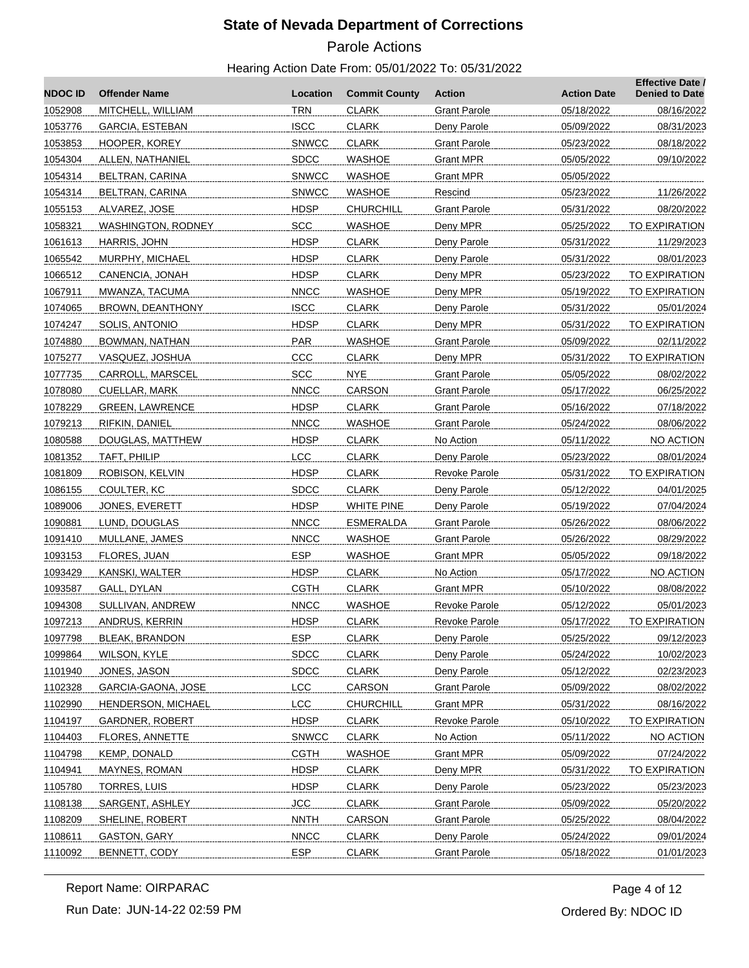# Parole Actions

| <b>NDOCID</b> | <b>Offender Name</b>      | Location     | <b>Commit County</b> | <b>Action</b>        | <b>Action Date</b> | <b>Effective Date /</b><br><b>Denied to Date</b> |
|---------------|---------------------------|--------------|----------------------|----------------------|--------------------|--------------------------------------------------|
| 1052908       | MITCHELL, WILLIAM         | <b>TRN</b>   | <b>CLARK</b>         | <b>Grant Parole</b>  | 05/18/2022         | 08/16/2022                                       |
| 1053776       | GARCIA, ESTEBAN           | <b>ISCC</b>  | <b>CLARK</b>         | Deny Parole          | 05/09/2022         | 08/31/2023                                       |
| 1053853       | HOOPER, KOREY             | <b>SNWCC</b> | <b>CLARK</b>         | <b>Grant Parole</b>  | 05/23/2022         | 08/18/2022                                       |
| 1054304       | ALLEN, NATHANIEL          | <b>SDCC</b>  | <b>WASHOE</b>        | <b>Grant MPR</b>     | 05/05/2022         | 09/10/2022                                       |
| 1054314       | BELTRAN, CARINA           | <b>SNWCC</b> | <b>WASHOE</b>        | <b>Grant MPR</b>     | 05/05/2022         |                                                  |
| 1054314       | BELTRAN, CARINA           | <b>SNWCC</b> | WASHOE               | Rescind              | 05/23/2022         | 11/26/2022                                       |
| 1055153       | ALVAREZ, JOSE             | <b>HDSP</b>  | <b>CHURCHILL</b>     | <b>Grant Parole</b>  | 05/31/2022         | 08/20/2022                                       |
| 1058321       | <b>WASHINGTON, RODNEY</b> | <b>SCC</b>   | <b>WASHOE</b>        | Deny MPR             | 05/25/2022         | TO EXPIRATION                                    |
| 1061613       | HARRIS, JOHN              | <b>HDSP</b>  | <b>CLARK</b>         | Deny Parole          | 05/31/2022         | 11/29/2023                                       |
| 1065542       | MURPHY, MICHAEL           | <b>HDSP</b>  | <b>CLARK</b>         | Deny Parole          | 05/31/2022         | 08/01/2023                                       |
| 1066512       | CANENCIA, JONAH           | <b>HDSP</b>  | <b>CLARK</b>         | Deny MPR             | 05/23/2022         | TO EXPIRATION                                    |
| 1067911       | MWANZA, TACUMA            | <b>NNCC</b>  | <b>WASHOE</b>        | Deny MPR             | 05/19/2022         | TO EXPIRATION                                    |
| 1074065       | BROWN, DEANTHONY          | <b>ISCC</b>  | <b>CLARK</b>         | Deny Parole          | 05/31/2022         | 05/01/2024                                       |
| 1074247       | SOLIS, ANTONIO            | <b>HDSP</b>  | <b>CLARK</b>         | Deny MPR             | 05/31/2022         | <b>TO EXPIRATION</b>                             |
| 1074880       | BOWMAN, NATHAN            | PAR          | WASHOE               | <b>Grant Parole</b>  | 05/09/2022         | 02/11/2022                                       |
| 1075277       | VASQUEZ, JOSHUA           | CCC          | <b>CLARK</b>         | Deny MPR             | 05/31/2022         | <b>TO EXPIRATION</b>                             |
| 1077735       | CARROLL, MARSCEL          | <b>SCC</b>   | <b>NYE</b>           | <b>Grant Parole</b>  | 05/05/2022         | 08/02/2022                                       |
| 1078080       | CUELLAR, MARK             | <b>NNCC</b>  | <b>CARSON</b>        | <b>Grant Parole</b>  | 05/17/2022         | 06/25/2022                                       |
| 1078229       | <b>GREEN, LAWRENCE</b>    | <b>HDSP</b>  | <b>CLARK</b>         | <b>Grant Parole</b>  | 05/16/2022         | 07/18/2022                                       |
| 1079213       | RIFKIN, DANIEL            | <b>NNCC</b>  | <b>WASHOE</b>        | <b>Grant Parole</b>  | 05/24/2022         | 08/06/2022                                       |
| 1080588       | DOUGLAS, MATTHEW          | <b>HDSP</b>  | <b>CLARK</b>         | No Action            | 05/11/2022         | NO ACTION                                        |
| 1081352       | TAFT, PHILIP              | <b>LCC</b>   | <b>CLARK</b>         | Deny Parole          | 05/23/2022         | 08/01/2024                                       |
| 1081809       | ROBISON, KELVIN           | <b>HDSP</b>  | <b>CLARK</b>         | Revoke Parole        | 05/31/2022         | <b>TO EXPIRATION</b>                             |
| 1086155       | COULTER, KC               | <b>SDCC</b>  | <b>CLARK</b>         | Deny Parole          | 05/12/2022         | 04/01/2025                                       |
| 1089006       | JONES, EVERETT            | <b>HDSP</b>  | <b>WHITE PINE</b>    | Deny Parole          | 05/19/2022         | 07/04/2024                                       |
| 1090881       | LUND, DOUGLAS             | <b>NNCC</b>  | <b>ESMERALDA</b>     | <b>Grant Parole</b>  | 05/26/2022         | 08/06/2022                                       |
| 1091410       | MULLANE, JAMES            | <b>NNCC</b>  | <b>WASHOE</b>        | <b>Grant Parole</b>  | 05/26/2022         | 08/29/2022                                       |
| 1093153       | FLORES, JUAN              | <b>ESP</b>   | <b>WASHOE</b>        | Grant MPR            | 05/05/2022         | 09/18/2022                                       |
| 1093429       | KANSKI, WALTER            | <b>HDSP</b>  | <b>CLARK</b>         | No Action            | 05/17/2022         | NO ACTION                                        |
| 1093587       | GALL, DYLAN               | <b>CGTH</b>  | <b>CLARK</b>         | <b>Grant MPR</b>     | 05/10/2022         | 08/08/2022                                       |
| 1094308       | SULLIVAN, ANDREW          | <b>NNCC</b>  | <b>WASHOE</b>        | Revoke Parole        | 05/12/2022         | 05/01/2023                                       |
| 1097213       | ANDRUS, KERRIN            | <b>HDSP</b>  | <b>CLARK</b>         | <b>Revoke Parole</b> | 05/17/2022         | <b>TO EXPIRATION</b>                             |
| 1097798       | <b>BLEAK, BRANDON</b>     | <b>ESP</b>   | <b>CLARK</b>         | Deny Parole          | 05/25/2022         | 09/12/2023                                       |
| 1099864       | WILSON, KYLE              | <b>SDCC</b>  | <b>CLARK</b>         | Deny Parole          | 05/24/2022         | 10/02/2023                                       |
| 1101940       | JONES, JASON              | SDCC         | <b>CLARK</b>         | Deny Parole          | 05/12/2022         | 02/23/2023                                       |
| 1102328       | GARCIA-GAONA, JOSE        | LCC          | CARSON               | <b>Grant Parole</b>  | 05/09/2022         | 08/02/2022                                       |
| 1102990       | <b>HENDERSON, MICHAEL</b> | LCC          | <b>CHURCHILL</b>     | <b>Grant MPR</b>     | 05/31/2022         | 08/16/2022                                       |
| 1104197       | <b>GARDNER, ROBERT</b>    | <b>HDSP</b>  | <b>CLARK</b>         | <b>Revoke Parole</b> | 05/10/2022         | TO EXPIRATION                                    |
| 1104403       | FLORES, ANNETTE           | <b>SNWCC</b> | <b>CLARK</b>         | No Action            | 05/11/2022         | NO ACTION                                        |
| 1104798       | KEMP, DONALD              | <b>CGTH</b>  | <b>WASHOE</b>        | <b>Grant MPR</b>     | 05/09/2022         | 07/24/2022                                       |
| 1104941       | MAYNES, ROMAN             | <b>HDSP</b>  | <b>CLARK</b>         | Deny MPR             | 05/31/2022         | <b>TO EXPIRATION</b>                             |
| 1105780       |                           | <b>HDSP</b>  | <b>CLARK</b>         |                      | 05/23/2022         |                                                  |
|               | <b>TORRES, LUIS</b>       | <b>JCC</b>   | <b>CLARK</b>         | Deny Parole          | 05/09/2022         | 05/23/2023                                       |
| 1108138       | SARGENT, ASHLEY           | <b>NNTH</b>  | CARSON               | <b>Grant Parole</b>  |                    | 05/20/2022                                       |
| 1108209       | SHELINE, ROBERT           |              |                      | <b>Grant Parole</b>  | 05/25/2022         | 08/04/2022                                       |
| 1108611       | GASTON, GARY              | <b>NNCC</b>  | <b>CLARK</b>         | Deny Parole          | 05/24/2022         | 09/01/2024                                       |
| 1110092       | BENNETT, CODY             | <b>ESP</b>   | <b>CLARK</b>         | <b>Grant Parole</b>  | 05/18/2022         | 01/01/2023                                       |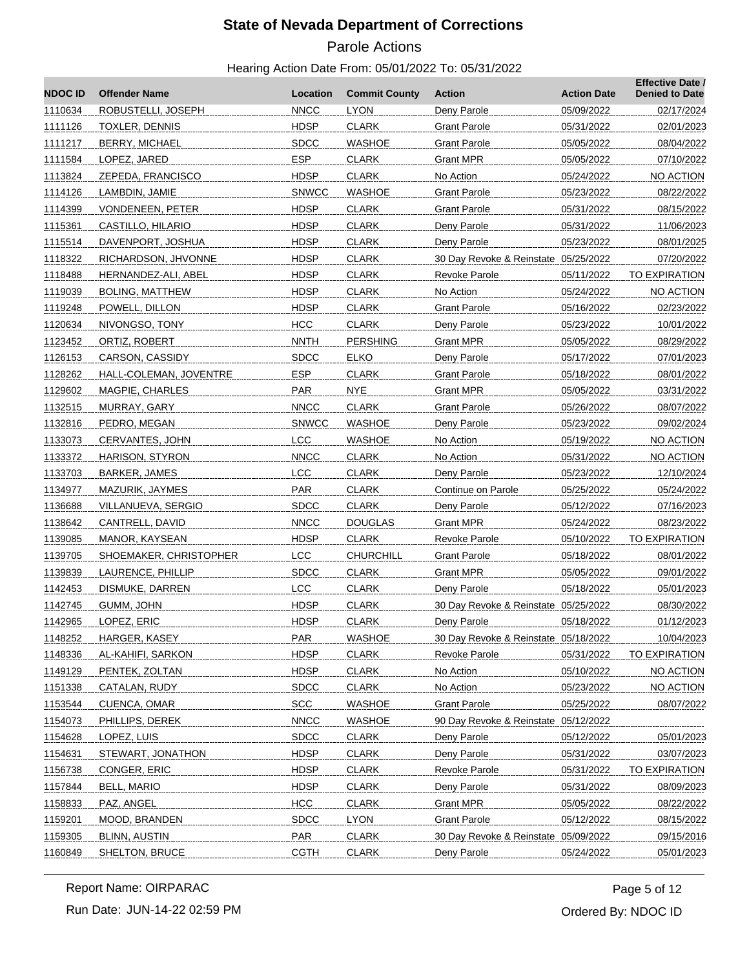# Parole Actions

| <b>NDOC ID</b> | <b>Offender Name</b>   | Location     | <b>Commit County</b> | <b>Action</b>                        | <b>Action Date</b> | <b>Effective Date /</b><br><b>Denied to Date</b> |
|----------------|------------------------|--------------|----------------------|--------------------------------------|--------------------|--------------------------------------------------|
| 1110634        | ROBUSTELLI, JOSEPH     | <b>NNCC</b>  | <b>LYON</b>          | Deny Parole                          | 05/09/2022         | 02/17/2024                                       |
| 1111126        | <b>TOXLER, DENNIS</b>  | <b>HDSP</b>  | <b>CLARK</b>         | <b>Grant Parole</b>                  | 05/31/2022         | 02/01/2023                                       |
| 1111217        | BERRY, MICHAEL         | <b>SDCC</b>  | WASHOE               | <b>Grant Parole</b>                  | 05/05/2022         | 08/04/2022                                       |
| 1111584        | LOPEZ, JARED           | <b>ESP</b>   | <b>CLARK</b>         | Grant MPR                            | 05/05/2022         | 07/10/2022                                       |
| 1113824        | ZEPEDA, FRANCISCO      | <b>HDSP</b>  | <b>CLARK</b>         | No Action                            | 05/24/2022         | NO ACTION                                        |
| 1114126        | LAMBDIN, JAMIE         | <b>SNWCC</b> | <b>WASHOE</b>        | <b>Grant Parole</b>                  | 05/23/2022         | 08/22/2022                                       |
| 1114399        | VONDENEEN, PETER       | <b>HDSP</b>  | <b>CLARK</b>         | <b>Grant Parole</b>                  | 05/31/2022         | 08/15/2022                                       |
| 1115361        | CASTILLO, HILARIO      | <b>HDSP</b>  | <b>CLARK</b>         | Deny Parole                          | 05/31/2022         | 11/06/2023                                       |
| 1115514        | DAVENPORT, JOSHUA      | HDSP         | <b>CLARK</b>         | Deny Parole                          | 05/23/2022         | 08/01/2025                                       |
| 1118322        | RICHARDSON, JHVONNE    | <b>HDSP</b>  | <b>CLARK</b>         | 30 Day Revoke & Reinstate 05/25/2022 |                    | 07/20/2022                                       |
| 1118488        | HERNANDEZ-ALI, ABEL    | <b>HDSP</b>  | <b>CLARK</b>         | Revoke Parole                        | 05/11/2022         | TO EXPIRATION                                    |
| 1119039        | <b>BOLING, MATTHEW</b> | <b>HDSP</b>  | <b>CLARK</b>         | No Action                            | 05/24/2022         | NO ACTION                                        |
| 1119248        | POWELL, DILLON         | HDSP         | <b>CLARK</b>         | <b>Grant Parole</b>                  | 05/16/2022         | 02/23/2022                                       |
| 1120634        | NIVONGSO, TONY         | <b>HCC</b>   | <b>CLARK</b>         | Deny Parole                          | 05/23/2022         | 10/01/2022                                       |
| 1123452        | ORTIZ, ROBERT          | <b>NNTH</b>  | <b>PERSHING</b>      | <b>Grant MPR</b>                     | 05/05/2022         | 08/29/2022                                       |
| 1126153        | CARSON, CASSIDY        | <b>SDCC</b>  | <b>ELKO</b>          | Deny Parole                          | 05/17/2022         | 07/01/2023                                       |
| 1128262        | HALL-COLEMAN, JOVENTRE | <b>ESP</b>   | <b>CLARK</b>         | <b>Grant Parole</b>                  | 05/18/2022         | 08/01/2022                                       |
| 1129602        | MAGPIE, CHARLES        | PAR          | <b>NYE</b>           | Grant MPR                            | 05/05/2022         | 03/31/2022                                       |
| 1132515        | MURRAY, GARY           | <b>NNCC</b>  | <b>CLARK</b>         | <b>Grant Parole</b>                  | 05/26/2022         | 08/07/2022                                       |
| 1132816        | PEDRO, MEGAN           | <b>SNWCC</b> | WASHOE               | Deny Parole                          | 05/23/2022         | 09/02/2024                                       |
| 1133073        | CERVANTES, JOHN        | <b>LCC</b>   | <b>WASHOE</b>        | No Action                            | 05/19/2022         | NO ACTION                                        |
| 1133372        | HARISON, STYRON        | <b>NNCC</b>  | <b>CLARK</b>         | No Action                            | 05/31/2022         | NO ACTION                                        |
| 1133703        | BARKER, JAMES          | <b>LCC</b>   | <b>CLARK</b>         | Deny Parole                          | 05/23/2022         | 12/10/2024                                       |
| 1134977        | MAZURIK, JAYMES        | PAR          | <b>CLARK</b>         | Continue on Parole                   | 05/25/2022         | 05/24/2022                                       |
| 1136688        | VILLANUEVA, SERGIO     | <b>SDCC</b>  | <b>CLARK</b>         | Deny Parole                          | 05/12/2022         | 07/16/2023                                       |
| 1138642        | CANTRELL, DAVID        | <b>NNCC</b>  | <b>DOUGLAS</b>       | Grant MPR                            | 05/24/2022         | 08/23/2022                                       |
| 1139085        | MANOR, KAYSEAN         | <b>HDSP</b>  | <b>CLARK</b>         | Revoke Parole                        | 05/10/2022         | TO EXPIRATION                                    |
| 1139705        | SHOEMAKER, CHRISTOPHER | <b>LCC</b>   | CHURCHILL            | <b>Grant Parole</b>                  | 05/18/2022         | 08/01/2022                                       |
| 1139839        | LAURENCE, PHILLIP      | <b>SDCC</b>  | <b>CLARK</b>         | Grant MPR                            | 05/05/2022         | 09/01/2022                                       |
| 1142453        | DISMUKE, DARREN        | <b>LCC</b>   | <b>CLARK</b>         | Deny Parole                          | 05/18/2022         | 05/01/2023                                       |
| 1142745        | GUMM, JOHN             | <b>HDSP</b>  | <b>CLARK</b>         | 30 Day Revoke & Reinstate 05/25/2022 |                    | 08/30/2022                                       |
| 1142965        | LOPEZ, ERIC            | <b>HDSP</b>  | <b>CLARK</b>         | Deny Parole                          | 05/18/2022         | 01/12/2023                                       |
| 1148252        | HARGER, KASEY          | <b>PAR</b>   | <b>WASHOE</b>        | 30 Day Revoke & Reinstate 05/18/2022 |                    | 10/04/2023                                       |
| 1148336        | AL-KAHIFI, SARKON      | <b>HDSP</b>  | <b>CLARK</b>         | Revoke Parole                        | 05/31/2022         | <b>TO EXPIRATION</b>                             |
| 1149129        | PENTEK, ZOLTAN         | <b>HDSP</b>  | <b>CLARK</b>         | No Action                            | 05/10/2022         | NO ACTION                                        |
| 1151338        | CATALAN, RUDY          | <b>SDCC</b>  | <b>CLARK</b>         | No Action                            | 05/23/2022         | NO ACTION                                        |
| 1153544        | <b>CUENCA, OMAR</b>    | <b>SCC</b>   | <b>WASHOE</b>        | <b>Grant Parole</b>                  | 05/25/2022         | 08/07/2022                                       |
| 1154073        | PHILLIPS, DEREK        | <b>NNCC</b>  | <b>WASHOE</b>        | 90 Day Revoke & Reinstate 05/12/2022 |                    |                                                  |
| 1154628        | LOPEZ, LUIS            | <b>SDCC</b>  | <b>CLARK</b>         | Deny Parole                          | 05/12/2022         | 05/01/2023                                       |
| 1154631        | STEWART, JONATHON      | <b>HDSP</b>  | <b>CLARK</b>         | Deny Parole                          | 05/31/2022         | 03/07/2023                                       |
| 1156738        | CONGER, ERIC           | <b>HDSP</b>  | <b>CLARK</b>         | <b>Revoke Parole</b>                 | 05/31/2022         | TO EXPIRATION                                    |
| 1157844        | <b>BELL, MARIO</b>     | <b>HDSP</b>  | <b>CLARK</b>         | Deny Parole                          | 05/31/2022         | 08/09/2023                                       |
| 1158833        | PAZ, ANGEL             | <b>HCC</b>   | <b>CLARK</b>         | <b>Grant MPR</b>                     | 05/05/2022         | 08/22/2022                                       |
| 1159201        | MOOD, BRANDEN          | <b>SDCC</b>  | <b>LYON</b>          | <b>Grant Parole</b>                  | 05/12/2022         | 08/15/2022                                       |
| 1159305        | <b>BLINN, AUSTIN</b>   | <b>PAR</b>   | <b>CLARK</b>         | 30 Day Revoke & Reinstate 05/09/2022 |                    | 09/15/2016                                       |
| 1160849        | SHELTON, BRUCE         | <b>CGTH</b>  | <b>CLARK</b>         | Deny Parole                          | 05/24/2022         | 05/01/2023                                       |
|                |                        |              |                      |                                      |                    |                                                  |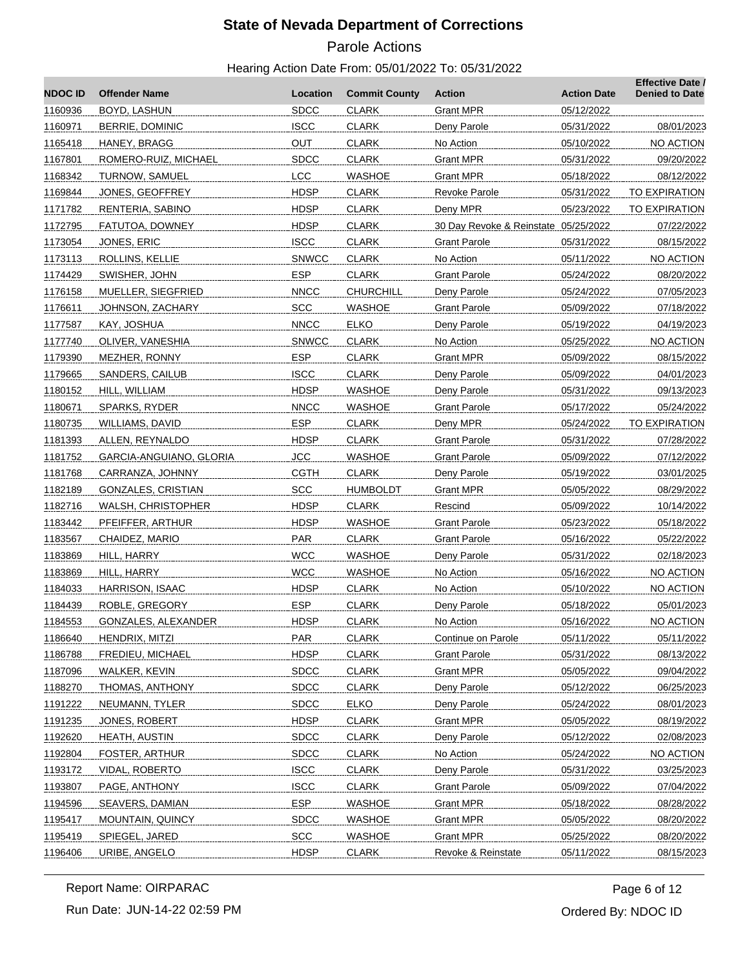# Parole Actions

## Hearing Action Date From: 05/01/2022 To: 05/31/2022

| <b>NDOC ID</b> | <b>Offender Name</b>       | Location     | <b>Commit County</b> | Action                               | <b>Action Date</b> | <b>Effective Date /</b><br><b>Denied to Date</b> |
|----------------|----------------------------|--------------|----------------------|--------------------------------------|--------------------|--------------------------------------------------|
| 1160936        | BOYD, LASHUN               | <b>SDCC</b>  | <b>CLARK</b>         | <b>Grant MPR</b>                     | 05/12/2022         |                                                  |
| 1160971        | BERRIE, DOMINIC            | <b>ISCC</b>  | <b>CLARK</b>         | Deny Parole                          | 05/31/2022         | 08/01/2023                                       |
| 1165418        | HANEY, BRAGG               | <b>OUT</b>   | <b>CLARK</b>         | No Action                            | 05/10/2022         | NO ACTION                                        |
| 1167801        | ROMERO-RUIZ, MICHAEL       | <b>SDCC</b>  | <b>CLARK</b>         | Grant MPR                            | 05/31/2022         | 09/20/2022                                       |
| 1168342        | TURNOW, SAMUEL             | <b>LCC</b>   | <b>WASHOE</b>        | Grant MPR                            | 05/18/2022         | 08/12/2022                                       |
| 1169844        | JONES, GEOFFREY            | <b>HDSP</b>  | <b>CLARK</b>         | <b>Revoke Parole</b>                 | 05/31/2022         | TO EXPIRATION                                    |
| 1171782        | RENTERIA, SABINO           | <b>HDSP</b>  | <b>CLARK</b>         | Deny MPR                             | 05/23/2022         | TO EXPIRATION                                    |
| 1172795        | FATUTOA, DOWNEY            | <b>HDSP</b>  | <b>CLARK</b>         | 30 Day Revoke & Reinstate 05/25/2022 |                    | 07/22/2022                                       |
| 1173054        | JONES, ERIC                | <b>ISCC</b>  | <b>CLARK</b>         | <b>Grant Parole</b>                  | 05/31/2022         | 08/15/2022                                       |
| 1173113        | ROLLINS, KELLIE            | <b>SNWCC</b> | <b>CLARK</b>         | No Action                            | 05/11/2022         | NO ACTION                                        |
| 1174429        | SWISHER, JOHN              | <b>ESP</b>   | <b>CLARK</b>         | Grant Parole                         | 05/24/2022         | 08/20/2022                                       |
| 1176158        | MUELLER, SIEGFRIED         | <b>NNCC</b>  | <b>CHURCHILL</b>     | Deny Parole                          | 05/24/2022         | 07/05/2023                                       |
| 1176611        | JOHNSON, ZACHARY           | <b>SCC</b>   | <b>WASHOE</b>        | Grant Parole                         | 05/09/2022         | 07/18/2022                                       |
| 1177587        | KAY, JOSHUA                | <b>NNCC</b>  | <b>ELKO</b>          | Deny Parole                          | 05/19/2022         | 04/19/2023                                       |
| 1177740        | OLIVER, VANESHIA           | <b>SNWCC</b> | <b>CLARK</b>         | No Action                            | 05/25/2022         | NO ACTION                                        |
| 1179390        | MEZHER, RONNY              | <b>ESP</b>   | <b>CLARK</b>         | <b>Grant MPR</b>                     | 05/09/2022         | 08/15/2022                                       |
| 1179665        | SANDERS, CAILUB            | <b>ISCC</b>  | <b>CLARK</b>         | Deny Parole                          | 05/09/2022         | 04/01/2023                                       |
| 1180152        | HILL, WILLIAM              | <b>HDSP</b>  | <b>WASHOE</b>        | Deny Parole                          | 05/31/2022         | 09/13/2023                                       |
| 1180671        | SPARKS, RYDER              | <b>NNCC</b>  | WASHOE               | Grant Parole                         | 05/17/2022         | 05/24/2022                                       |
| 1180735        | WILLIAMS, DAVID            | <b>ESP</b>   | <b>CLARK</b>         | Deny MPR                             | 05/24/2022         | TO EXPIRATION                                    |
| 1181393        | ALLEN, REYNALDO            | <b>HDSP</b>  | <b>CLARK</b>         | <b>Grant Parole</b>                  | 05/31/2022         | 07/28/2022                                       |
| 1181752        | GARCIA-ANGUIANO, GLORIA    | <b>JCC</b>   | <b>WASHOE</b>        | Grant Parole                         | 05/09/2022         | 07/12/2022                                       |
| 1181768        | CARRANZA, JOHNNY           | <b>CGTH</b>  | <b>CLARK</b>         | Deny Parole                          | 05/19/2022         | 03/01/2025                                       |
| 1182189        | GONZALES, CRISTIAN         | <b>SCC</b>   | <b>HUMBOLDT</b>      | Grant MPR                            | 05/05/2022         | 08/29/2022                                       |
| 1182716        | WALSH, CHRISTOPHER         | <b>HDSP</b>  | <b>CLARK</b>         | Rescind                              | 05/09/2022         | 10/14/2022                                       |
| 1183442        | PFEIFFER, ARTHUR           | <b>HDSP</b>  | WASHOE               | Grant Parole                         | 05/23/2022         | 05/18/2022                                       |
| 1183567        | CHAIDEZ, MARIO             | <b>PAR</b>   | <b>CLARK</b>         | <b>Grant Parole</b>                  | 05/16/2022         | 05/22/2022                                       |
| 1183869        | HILL, HARRY                | <b>WCC</b>   | <b>WASHOE</b>        | Deny Parole                          | 05/31/2022         | 02/18/2023                                       |
| 1183869        | HILL, HARRY                | <b>WCC</b>   | <b>WASHOE</b>        | No Action                            | 05/16/2022         | NO ACTION                                        |
| 1184033        | HARRISON, ISAAC            | <b>HDSP</b>  | <b>CLARK</b>         | No Action                            | 05/10/2022         | NO ACTION                                        |
| 1184439        | ROBLE, GREGORY             | <b>ESP</b>   | <b>CLARK</b>         | Deny Parole                          | 05/18/2022         | 05/01/2023                                       |
| 1184553        | <b>GONZALES, ALEXANDER</b> | <b>HDSP</b>  | <b>CLARK</b>         | No Action                            | 05/16/2022         | NO ACTION                                        |
| 1186640        | HENDRIX, MITZI             | <b>PAR</b>   | <b>CLARK</b>         | Continue on Parole                   | 05/11/2022         | 05/11/2022                                       |
| 1186788        | FREDIEU, MICHAEL           | <b>HDSP</b>  | <b>CLARK</b>         | <b>Grant Parole</b>                  | 05/31/2022         | 08/13/2022                                       |
| 1187096        | WALKER, KEVIN              | <b>SDCC</b>  | <b>CLARK</b>         | <b>Grant MPR</b>                     | 05/05/2022         | 09/04/2022                                       |
| 1188270        | THOMAS, ANTHONY            | <b>SDCC</b>  | <b>CLARK</b>         | Deny Parole                          | 05/12/2022         | 06/25/2023                                       |
| 1191222        | NEUMANN, TYLER             | <b>SDCC</b>  | <b>ELKO</b>          | Deny Parole                          | 05/24/2022         | 08/01/2023                                       |
| 1191235        | JONES, ROBERT              | <b>HDSP</b>  | <b>CLARK</b>         | <b>Grant MPR</b>                     | 05/05/2022         | 08/19/2022                                       |
| 1192620        | <b>HEATH, AUSTIN</b>       | <b>SDCC</b>  | <b>CLARK</b>         | Deny Parole                          | 05/12/2022         | 02/08/2023                                       |
| 1192804        | <b>FOSTER, ARTHUR</b>      | <b>SDCC</b>  | <b>CLARK</b>         | No Action                            | 05/24/2022         | NO ACTION                                        |
| 1193172        | VIDAL, ROBERTO             | <b>ISCC</b>  | <b>CLARK</b>         | Deny Parole                          | 05/31/2022         | 03/25/2023                                       |
| 1193807        | PAGE, ANTHONY              | <b>ISCC</b>  | <b>CLARK</b>         | <b>Grant Parole</b>                  | 05/09/2022         | 07/04/2022                                       |
| 1194596        | SEAVERS, DAMIAN            | ESP.         | <b>WASHOE</b>        | <b>Grant MPR</b>                     | 05/18/2022         | 08/28/2022                                       |
| 1195417        | MOUNTAIN, QUINCY           | <b>SDCC</b>  | <b>WASHOE</b>        | <b>Grant MPR</b>                     | 05/05/2022         | 08/20/2022                                       |
| 1195419        | SPIEGEL, JARED             | SCC          | <b>WASHOE</b>        | <b>Grant MPR</b>                     | 05/25/2022         | 08/20/2022                                       |
| 1196406        | URIBE, ANGELO              | <b>HDSP</b>  | <b>CLARK</b>         | Revoke & Reinstate                   | 05/11/2022         | 08/15/2023                                       |

Run Date: JUN-14-22 02:59 PM Report Name: OIRPARAC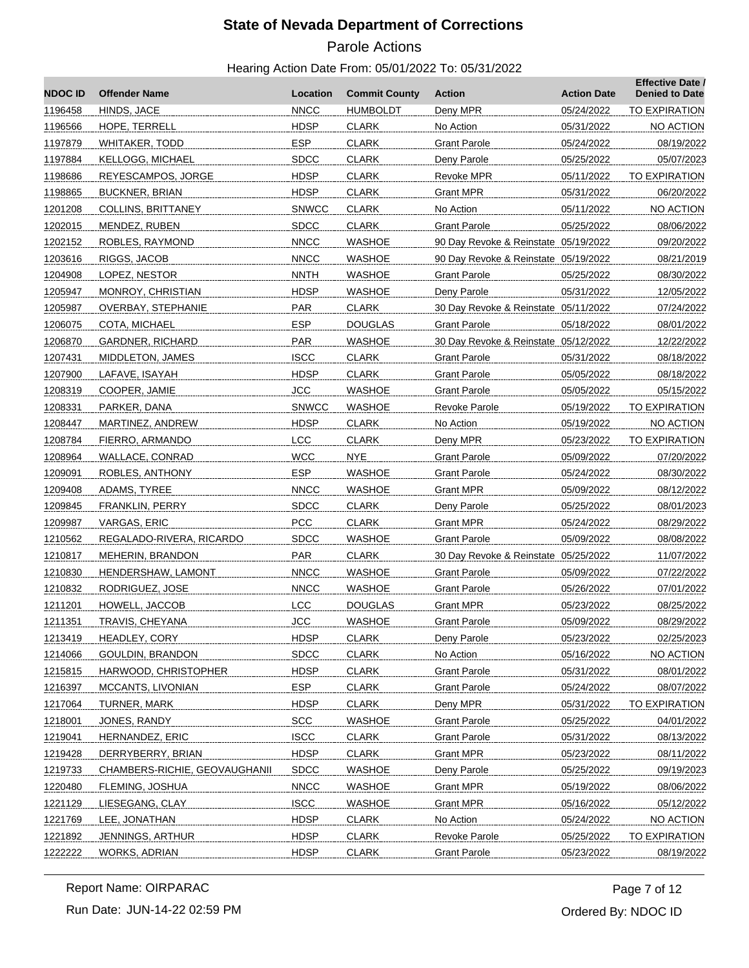# Parole Actions

| <b>NDOC ID</b> | <b>Offender Name</b>          | Location     | <b>Commit County</b> | <b>Action</b>                        | <b>Action Date</b> | <b>Effective Date /</b><br><b>Denied to Date</b> |
|----------------|-------------------------------|--------------|----------------------|--------------------------------------|--------------------|--------------------------------------------------|
| 1196458        | HINDS, JACE                   | <b>NNCC</b>  | HUMBOLDT             | Deny MPR                             | 05/24/2022         | <b>TO EXPIRATION</b>                             |
| 1196566        | HOPE, TERRELL                 | <b>HDSP</b>  | <b>CLARK</b>         | No Action                            | 05/31/2022         | NO ACTION                                        |
| 1197879        | WHITAKER, TODD                | <b>ESP</b>   | <b>CLARK</b>         | <b>Grant Parole</b>                  | 05/24/2022         | 08/19/2022                                       |
| 1197884        | KELLOGG, MICHAEL              | <b>SDCC</b>  | <b>CLARK</b>         | Deny Parole                          | 05/25/2022         | 05/07/2023                                       |
| 1198686        | REYESCAMPOS, JORGE            | HDSP         | <b>CLARK</b>         | Revoke MPR                           | 05/11/2022         | <b>TO EXPIRATION</b>                             |
| 1198865        | <b>BUCKNER, BRIAN</b>         | <b>HDSP</b>  | <b>CLARK</b>         | <b>Grant MPR</b>                     | 05/31/2022         | 06/20/2022                                       |
| 1201208        | COLLINS, BRITTANEY            | <b>SNWCC</b> | <b>CLARK</b>         | No Action                            | 05/11/2022         | NO ACTION                                        |
| 1202015        | MENDEZ, RUBEN                 | <b>SDCC</b>  | <b>CLARK</b>         | <b>Grant Parole</b>                  | 05/25/2022         | 08/06/2022                                       |
| 1202152        | ROBLES, RAYMOND               | <b>NNCC</b>  | <b>WASHOE</b>        | 90 Day Revoke & Reinstate 05/19/2022 |                    | 09/20/2022                                       |
| 1203616        | RIGGS, JACOB                  | <b>NNCC</b>  | <b>WASHOE</b>        | 90 Day Revoke & Reinstate 05/19/2022 |                    | 08/21/2019                                       |
| 1204908        | LOPEZ, NESTOR                 | <b>NNTH</b>  | WASHOE               | <b>Grant Parole</b>                  | 05/25/2022         | 08/30/2022                                       |
| 1205947        | <b>MONROY, CHRISTIAN</b>      | <b>HDSP</b>  | <b>WASHOE</b>        | Deny Parole                          | 05/31/2022         | 12/05/2022                                       |
| 1205987        | <b>OVERBAY, STEPHANIE</b>     | <b>PAR</b>   | <b>CLARK</b>         | 30 Day Revoke & Reinstate 05/11/2022 |                    | 07/24/2022                                       |
| 1206075        | COTA, MICHAEL                 | <b>ESP</b>   | <b>DOUGLAS</b>       | <b>Grant Parole</b>                  | 05/18/2022         | 08/01/2022                                       |
| 1206870        | GARDNER, RICHARD              | <b>PAR</b>   | WASHOE               | 30 Day Revoke & Reinstate 05/12/2022 |                    | 12/22/2022                                       |
| 1207431        | MIDDLETON, JAMES              | <b>ISCC</b>  | CLARK                | <b>Grant Parole</b>                  | 05/31/2022         | 08/18/2022                                       |
| 1207900        | LAFAVE, ISAYAH                | <b>HDSP</b>  | <b>CLARK</b>         | <b>Grant Parole</b>                  | 05/05/2022         | 08/18/2022                                       |
| 1208319        | COOPER, JAMIE                 | <b>JCC</b>   | <b>WASHOE</b>        | <b>Grant Parole</b>                  | 05/05/2022         | 05/15/2022                                       |
| 1208331        | PARKER, DANA                  | <b>SNWCC</b> | WASHOE               | Revoke Parole                        | 05/19/2022         | TO EXPIRATION                                    |
| 1208447        | MARTINEZ, ANDREW              | <b>HDSP</b>  | CLARK                | No Action                            | 05/19/2022         | NO ACTION                                        |
| 1208784        | FIERRO, ARMANDO               | <b>LCC</b>   | <b>CLARK</b>         | Deny MPR                             | 05/23/2022         | TO EXPIRATION                                    |
| 1208964        | WALLACE, CONRAD               | <b>WCC</b>   | <b>NYE</b>           | <b>Grant Parole</b>                  | 05/09/2022         | 07/20/2022                                       |
| 1209091        | ROBLES, ANTHONY               | <b>ESP</b>   | WASHOE               | <b>Grant Parole</b>                  | 05/24/2022         | 08/30/2022                                       |
| 1209408        | ADAMS, TYREE                  | <b>NNCC</b>  | WASHOE               | Grant MPR                            | 05/09/2022         | 08/12/2022                                       |
| 1209845        | FRANKLIN, PERRY               | <b>SDCC</b>  | <b>CLARK</b>         | Deny Parole                          | 05/25/2022         | 08/01/2023                                       |
| 1209987        | VARGAS, ERIC                  | <b>PCC</b>   | <b>CLARK</b>         | <b>Grant MPR</b>                     | 05/24/2022         | 08/29/2022                                       |
| 1210562        | REGALADO-RIVERA, RICARDO      | <b>SDCC</b>  | WASHOE               | <b>Grant Parole</b>                  | 05/09/2022         | 08/08/2022                                       |
| 1210817        | MEHERIN, BRANDON              | <b>PAR</b>   | <b>CLARK</b>         | 30 Day Revoke & Reinstate 05/25/2022 |                    | 11/07/2022                                       |
| 1210830        | HENDERSHAW, LAMONT            | <b>NNCC</b>  | <b>WASHOE</b>        | <b>Grant Parole</b>                  | 05/09/2022         | 07/22/2022                                       |
| 1210832        | RODRIGUEZ, JOSE               | <b>NNCC</b>  | WASHOE               | <b>Grant Parole</b>                  | 05/26/2022         | 07/01/2022                                       |
| 1211201        | HOWELL, JACCOB                | <b>LCC</b>   | DOUGLAS              | Grant MPR                            | 05/23/2022         | 08/25/2022                                       |
| 1211351        | <b>TRAVIS, CHEYANA</b>        | <b>JCC</b>   | <b>WASHOE</b>        | <b>Grant Parole</b>                  | 05/09/2022         | 08/29/2022                                       |
| 1213419        | HEADLEY, CORY                 | <b>HDSP</b>  | <b>CLARK</b>         | Deny Parole                          | 05/23/2022         | 02/25/2023                                       |
| 1214066        | GOULDIN, BRANDON              | <b>SDCC</b>  | <b>CLARK</b>         | No Action                            | 05/16/2022         | NO ACTION                                        |
| 1215815        | HARWOOD, CHRISTOPHER          | <b>HDSP</b>  | <b>CLARK</b>         | <b>Grant Parole</b>                  | 05/31/2022         | 08/01/2022                                       |
| 1216397        | MCCANTS, LIVONIAN             | <b>ESP</b>   | <b>CLARK</b>         | <b>Grant Parole</b>                  | 05/24/2022         | 08/07/2022                                       |
| 1217064        | TURNER, MARK                  | <b>HDSP</b>  | <b>CLARK</b>         | Deny MPR                             | 05/31/2022         | TO EXPIRATION                                    |
| 1218001        | JONES, RANDY                  | <b>SCC</b>   | <b>WASHOE</b>        | <b>Grant Parole</b>                  | 05/25/2022         | 04/01/2022                                       |
| 1219041        | HERNANDEZ, ERIC               | <b>ISCC</b>  | <b>CLARK</b>         | <b>Grant Parole</b>                  | 05/31/2022         | 08/13/2022                                       |
| 1219428        | DERRYBERRY, BRIAN             | <b>HDSP</b>  | <b>CLARK</b>         | <b>Grant MPR</b>                     | 05/23/2022         | 08/11/2022                                       |
| 1219733        | CHAMBERS-RICHIE, GEOVAUGHANII | <b>SDCC</b>  | <b>WASHOE</b>        | Deny Parole                          | 05/25/2022         | 09/19/2023                                       |
| 1220480        | FLEMING, JOSHUA               | <b>NNCC</b>  | <b>WASHOE</b>        | <b>Grant MPR</b>                     | 05/19/2022         | 08/06/2022                                       |
| 1221129        | LIESEGANG, CLAY               | <b>ISCC</b>  | <b>WASHOE</b>        | <b>Grant MPR</b>                     | 05/16/2022         | 05/12/2022                                       |
| 1221769        | LEE, JONATHAN                 | <b>HDSP</b>  | <b>CLARK</b>         | No Action                            | 05/24/2022         | NO ACTION                                        |
| 1221892        | JENNINGS, ARTHUR              | <b>HDSP</b>  | <b>CLARK</b>         | <b>Revoke Parole</b>                 | 05/25/2022         | <b>TO EXPIRATION</b>                             |
| 1222222        | WORKS, ADRIAN                 | <b>HDSP</b>  | <b>CLARK</b>         | <b>Grant Parole</b>                  | 05/23/2022         | 08/19/2022                                       |
|                |                               |              |                      |                                      |                    |                                                  |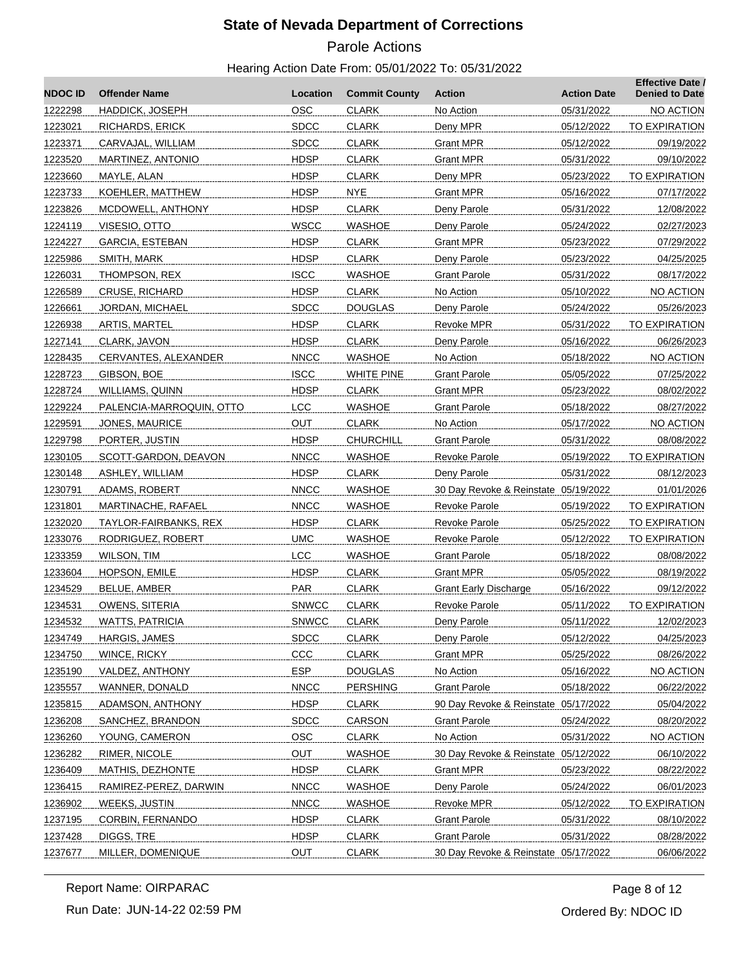# Parole Actions

| <b>NDOCID</b> | <b>Offender Name</b>     | Location     | <b>Commit County</b> | <b>Action</b>                        | <b>Action Date</b> | <b>Effective Date /</b><br><b>Denied to Date</b> |
|---------------|--------------------------|--------------|----------------------|--------------------------------------|--------------------|--------------------------------------------------|
| 1222298       | HADDICK, JOSEPH          | <b>OSC</b>   | <b>CLARK</b>         | No Action                            | 05/31/2022         | NO ACTION                                        |
| 1223021       | RICHARDS, ERICK          | <b>SDCC</b>  | <b>CLARK</b>         | Deny MPR                             | 05/12/2022         | <b>TO EXPIRATION</b>                             |
| 1223371       | CARVAJAL, WILLIAM        | <b>SDCC</b>  | <b>CLARK</b>         | <b>Grant MPR</b>                     | 05/12/2022         | 09/19/2022                                       |
| 1223520       | MARTINEZ, ANTONIO        | <b>HDSP</b>  | <b>CLARK</b>         | Grant MPR                            | 05/31/2022         | 09/10/2022                                       |
| 1223660       | MAYLE, ALAN              | <b>HDSP</b>  | <b>CLARK</b>         | Deny MPR                             | 05/23/2022         | <b>TO EXPIRATION</b>                             |
| 1223733       | KOEHLER, MATTHEW         | <b>HDSP</b>  | <b>NYE</b>           | <b>Grant MPR</b>                     | 05/16/2022         | 07/17/2022                                       |
| 1223826       | MCDOWELL, ANTHONY        | <b>HDSP</b>  | <b>CLARK</b>         | Deny Parole                          | 05/31/2022         | 12/08/2022                                       |
| 1224119       | VISESIO, OTTO            | <b>WSCC</b>  | <b>WASHOE</b>        | Deny Parole                          | 05/24/2022         | 02/27/2023                                       |
| 1224227       | GARCIA, ESTEBAN          | <b>HDSP</b>  | <b>CLARK</b>         | Grant MPR                            | 05/23/2022         | 07/29/2022                                       |
| 1225986       | SMITH, MARK              | <b>HDSP</b>  | <b>CLARK</b>         | Deny Parole                          | 05/23/2022         | 04/25/2025                                       |
| 1226031       | THOMPSON, REX            | <b>ISCC</b>  | <b>WASHOE</b>        | Grant Parole                         | 05/31/2022         | 08/17/2022                                       |
| 1226589       | <b>CRUSE, RICHARD</b>    | <b>HDSP</b>  | <b>CLARK</b>         | No Action                            | 05/10/2022         | NO ACTION                                        |
| 1226661       | JORDAN, MICHAEL          | <b>SDCC</b>  | <b>DOUGLAS</b>       | Deny Parole                          | 05/24/2022         | 05/26/2023                                       |
| 1226938       | ARTIS, MARTEL            | <b>HDSP</b>  | <b>CLARK</b>         | Revoke MPR                           | 05/31/2022         | <b>TO EXPIRATION</b>                             |
| 1227141       | CLARK, JAVON             | <b>HDSP</b>  | <b>CLARK</b>         | Deny Parole                          | 05/16/2022         | 06/26/2023                                       |
| 1228435       | CERVANTES, ALEXANDER     | <b>NNCC</b>  | WASHOE               | No Action                            | 05/18/2022         | <b>NO ACTION</b>                                 |
| 1228723       | GIBSON, BOE              | <b>ISCC</b>  | <b>WHITE PINE</b>    | <b>Grant Parole</b>                  | 05/05/2022         | 07/25/2022                                       |
| 1228724       | WILLIAMS, QUINN          | <b>HDSP</b>  | <b>CLARK</b>         | <b>Grant MPR</b>                     | 05/23/2022         | 08/02/2022                                       |
| 1229224       | PALENCIA-MARROQUIN, OTTO | LCC          | <b>WASHOE</b>        | Grant Parole                         | 05/18/2022         | 08/27/2022                                       |
| 1229591       | JONES, MAURICE           | OUT          | <b>CLARK</b>         | No Action                            | 05/17/2022         | NO ACTION                                        |
| 1229798       | PORTER, JUSTIN           | <b>HDSP</b>  | <b>CHURCHILL</b>     | <b>Grant Parole</b>                  | 05/31/2022         | 08/08/2022                                       |
| 1230105       | SCOTT-GARDON, DEAVON     | <b>NNCC</b>  | <b>WASHOE</b>        | <b>Revoke Parole</b>                 | 05/19/2022         | TO EXPIRATION                                    |
| 1230148       | ASHLEY, WILLIAM          | <b>HDSP</b>  | <b>CLARK</b>         | Deny Parole                          | 05/31/2022         | 08/12/2023                                       |
| 1230791       | ADAMS, ROBERT            | <b>NNCC</b>  | WASHOE               | 30 Day Revoke & Reinstate 05/19/2022 |                    | 01/01/2026                                       |
| 1231801       | MARTINACHE, RAFAEL       | <b>NNCC</b>  | <b>WASHOE</b>        | <b>Revoke Parole</b>                 | 05/19/2022         | TO EXPIRATION                                    |
| 1232020       | TAYLOR-FAIRBANKS, REX    | <b>HDSP</b>  | <b>CLARK</b>         | <b>Revoke Parole</b>                 | 05/25/2022         | TO EXPIRATION                                    |
| 1233076       | RODRIGUEZ, ROBERT        | <b>UMC</b>   | <b>WASHOE</b>        | Revoke Parole                        | 05/12/2022         | TO EXPIRATION                                    |
| 1233359       | WILSON, TIM              | LCC          | <b>WASHOE</b>        | <b>Grant Parole</b>                  | 05/18/2022         | 08/08/2022                                       |
| 1233604       | HOPSON, EMILE            | <b>HDSP</b>  | <b>CLARK</b>         | Grant MPR                            | 05/05/2022         | 08/19/2022                                       |
| 1234529       | <b>BELUE, AMBER</b>      | PAR          | <b>CLARK</b>         | <b>Grant Early Discharge</b>         | 05/16/2022         | 09/12/2022                                       |
| 1234531       | OWENS, SITERIA           | <b>SNWCC</b> | <b>CLARK</b>         | Revoke Parole                        | 05/11/2022         | <b>TO EXPIRATION</b>                             |
| 1234532       | WATTS, PATRICIA          | <b>SNWCC</b> | CLARK                | Deny Parole                          | 05/11/2022         | 12/02/2023                                       |
| 1234749       | HARGIS, JAMES            | <b>SDCC</b>  | <b>CLARK</b>         | Deny Parole                          | 05/12/2022         | 04/25/2023                                       |
| 1234750       | WINCE, RICKY             | CCC          | <b>CLARK</b>         | <b>Grant MPR</b>                     | 05/25/2022         | 08/26/2022                                       |
| 1235190       | VALDEZ, ANTHONY          | ESP.         | <b>DOUGLAS</b>       | No Action                            | 05/16/2022         | NO ACTION                                        |
| 1235557       | WANNER, DONALD           | <b>NNCC</b>  | <b>PERSHING</b>      | <b>Grant Parole</b>                  | 05/18/2022         | 06/22/2022                                       |
| 1235815       | ADAMSON, ANTHONY         | <b>HDSP</b>  | <b>CLARK</b>         | 90 Day Revoke & Reinstate 05/17/2022 |                    | 05/04/2022                                       |
| 1236208       | SANCHEZ, BRANDON         | <b>SDCC</b>  | CARSON               | <b>Grant Parole</b>                  | 05/24/2022         | 08/20/2022                                       |
| 1236260       | YOUNG, CAMERON           | OSC          | <b>CLARK</b>         | No Action                            | 05/31/2022         | NO ACTION                                        |
| 1236282       | RIMER, NICOLE            | <b>OUT</b>   | <b>WASHOE</b>        | 30 Day Revoke & Reinstate 05/12/2022 |                    | 06/10/2022                                       |
| 1236409       | MATHIS, DEZHONTE         | <b>HDSP</b>  | <b>CLARK</b>         | <b>Grant MPR</b>                     | 05/23/2022         | 08/22/2022                                       |
| 1236415       | RAMIREZ-PEREZ, DARWIN    | <b>NNCC</b>  | <b>WASHOE</b>        | Deny Parole                          | 05/24/2022         | 06/01/2023                                       |
| 1236902       | WEEKS, JUSTIN            | <b>NNCC</b>  | <b>WASHOE</b>        | <b>Revoke MPR</b>                    | 05/12/2022         | <b>TO EXPIRATION</b>                             |
| 1237195       | CORBIN, FERNANDO         | <b>HDSP</b>  | <b>CLARK</b>         | <b>Grant Parole</b>                  | 05/31/2022         | 08/10/2022                                       |
| 1237428       | DIGGS, TRE               | <b>HDSP</b>  | <b>CLARK</b>         | <b>Grant Parole</b>                  | 05/31/2022         | 08/28/2022                                       |
| 1237677       | MILLER, DOMENIQUE        | <b>OUT</b>   | <b>CLARK</b>         | 30 Day Revoke & Reinstate 05/17/2022 |                    | 06/06/2022                                       |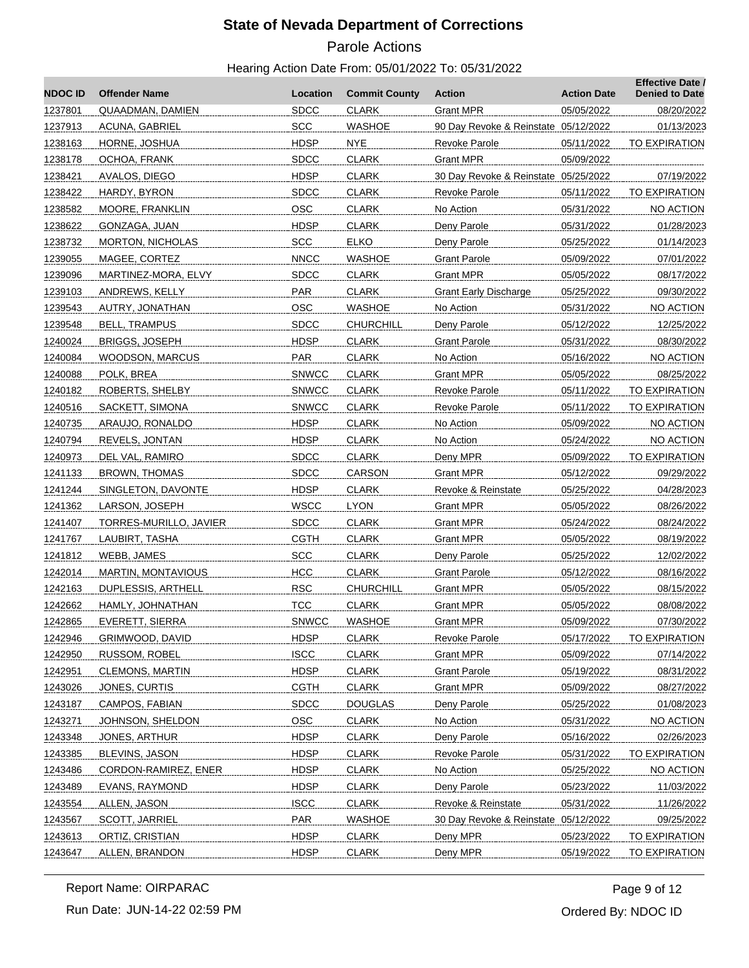# Parole Actions

#### Hearing Action Date From: 05/01/2022 To: 05/31/2022

| <b>NDOC ID</b> | <b>Offender Name</b>   | Location     | <b>Commit County</b> | Action                               | <b>Action Date</b> | <b>Effective Date /</b><br><b>Denied to Date</b> |
|----------------|------------------------|--------------|----------------------|--------------------------------------|--------------------|--------------------------------------------------|
| 1237801        | QUAADMAN, DAMIEN       | <b>SDCC</b>  | <b>CLARK</b>         | <b>Grant MPR</b>                     | 05/05/2022         | 08/20/2022                                       |
| 1237913        | ACUNA, GABRIEL         | SCC          | <b>WASHOE</b>        | 90 Day Revoke & Reinstate 05/12/2022 |                    | 01/13/2023                                       |
| 1238163        | HORNE, JOSHUA          | <b>HDSP</b>  | NYE                  | Revoke Parole                        | 05/11/2022         | <b>TO EXPIRATION</b>                             |
| 1238178        | OCHOA, FRANK           | <b>SDCC</b>  | <b>CLARK</b>         | Grant MPR                            | 05/09/2022         |                                                  |
| 1238421        | AVALOS, DIEGO          | <b>HDSP</b>  | <b>CLARK</b>         | 30 Day Revoke & Reinstate 05/25/2022 |                    | 07/19/2022                                       |
| 1238422        | HARDY, BYRON           | <b>SDCC</b>  | <b>CLARK</b>         | Revoke Parole                        | 05/11/2022         | TO EXPIRATION                                    |
| 1238582        | MOORE, FRANKLIN        | <b>OSC</b>   | <b>CLARK</b>         | No Action                            | 05/31/2022         | NO ACTION                                        |
| 1238622        | GONZAGA, JUAN          | <b>HDSP</b>  | <b>CLARK</b>         | Deny Parole                          | 05/31/2022         | 01/28/2023                                       |
| 1238732        | MORTON, NICHOLAS       | <b>SCC</b>   | <b>ELKO</b>          | Deny Parole                          | 05/25/2022         | 01/14/2023                                       |
| 1239055        | MAGEE, CORTEZ          | <b>NNCC</b>  | <b>WASHOE</b>        | <b>Grant Parole</b>                  | 05/09/2022         | 07/01/2022                                       |
| 1239096        | MARTINEZ-MORA, ELVY    | <b>SDCC</b>  | <b>CLARK</b>         | Grant MPR                            | 05/05/2022         | 08/17/2022                                       |
| 1239103        | ANDREWS, KELLY         | <b>PAR</b>   | <b>CLARK</b>         | <b>Grant Early Discharge</b>         | 05/25/2022         | 09/30/2022                                       |
| 1239543        | AUTRY, JONATHAN        | <b>OSC</b>   | <b>WASHOE</b>        | No Action                            | 05/31/2022         | NO ACTION                                        |
| 1239548        | <b>BELL, TRAMPUS</b>   | <b>SDCC</b>  | <b>CHURCHILL</b>     | Deny Parole                          | 05/12/2022         | 12/25/2022                                       |
| 1240024        | <b>BRIGGS, JOSEPH</b>  | <b>HDSP</b>  | <b>CLARK</b>         | <b>Grant Parole</b>                  | 05/31/2022         | 08/30/2022                                       |
| 1240084        | <b>WOODSON, MARCUS</b> | PAR          | <b>CLARK</b>         | No Action                            | 05/16/2022         | NO ACTION                                        |
| 1240088        | POLK, BREA             | <b>SNWCC</b> | <b>CLARK</b>         | Grant MPR                            | 05/05/2022         | 08/25/2022                                       |
| 1240182        | <b>ROBERTS, SHELBY</b> | <b>SNWCC</b> | <b>CLARK</b>         | Revoke Parole                        | 05/11/2022         | TO EXPIRATION                                    |
| 1240516        | SACKETT, SIMONA        | <b>SNWCC</b> | <b>CLARK</b>         | Revoke Parole                        | 05/11/2022         | TO EXPIRATION                                    |
| 1240735        | ARAUJO, RONALDO        | <b>HDSP</b>  | <b>CLARK</b>         | No Action                            | 05/09/2022         | NO ACTION                                        |
| 1240794        | REVELS, JONTAN         | <b>HDSP</b>  | <b>CLARK</b>         | No Action                            | 05/24/2022         | NO ACTION                                        |
| 1240973        | DEL VAL, RAMIRO        | <b>SDCC</b>  | <b>CLARK</b>         | Deny MPR                             | 05/09/2022         | TO EXPIRATION                                    |
| 1241133        | BROWN, THOMAS          | <b>SDCC</b>  | CARSON               | <b>Grant MPR</b>                     | 05/12/2022         | 09/29/2022                                       |
| 1241244        | SINGLETON, DAVONTE     | <b>HDSP</b>  | <b>CLARK</b>         | Revoke & Reinstate                   | 05/25/2022         | 04/28/2023                                       |
| 1241362        | LARSON, JOSEPH         | WSCC         | <b>LYON</b>          | Grant MPR                            | 05/05/2022         | 08/26/2022                                       |
| 1241407        | TORRES-MURILLO, JAVIER | <b>SDCC</b>  | <b>CLARK</b>         | Grant MPR                            | 05/24/2022         | 08/24/2022                                       |
| 1241767        | LAUBIRT, TASHA         | <b>CGTH</b>  | <b>CLARK</b>         | <b>Grant MPR</b>                     | 05/05/2022         | 08/19/2022                                       |
| 1241812        | WEBB, JAMES            | <b>SCC</b>   | <b>CLARK</b>         | Deny Parole                          | 05/25/2022         | 12/02/2022                                       |
| 1242014        | MARTIN, MONTAVIOUS     | <b>HCC</b>   | <b>CLARK</b>         | <b>Grant Parole</b>                  | 05/12/2022         | 08/16/2022                                       |
| 1242163        | DUPLESSIS, ARTHELL     | <b>RSC</b>   | <b>CHURCHILL</b>     | Grant MPR                            | 05/05/2022         | 08/15/2022                                       |
| 1242662        | HAMLY, JOHNATHAN       | <b>TCC</b>   | <b>CLARK</b>         | Grant MPR                            | 05/05/2022         | 08/08/2022                                       |
| 1242865        | EVERETT, SIERRA        | <b>SNWCC</b> | <b>WASHOE</b>        | <b>Grant MPR</b>                     | 05/09/2022         | 07/30/2022                                       |
| 1242946        | GRIMWOOD, DAVID        | <b>HDSP</b>  | <b>CLARK</b>         | Revoke Parole                        | 05/17/2022         | TO EXPIRATION                                    |
| 1242950        | <b>RUSSOM, ROBEL</b>   | <b>ISCC</b>  | <b>CLARK</b>         | <b>Grant MPR</b>                     | 05/09/2022         | 07/14/2022                                       |
| 1242951        | <b>CLEMONS, MARTIN</b> | <b>HDSP</b>  | <b>CLARK</b>         | <b>Grant Parole</b>                  | 05/19/2022         | 08/31/2022                                       |
| 1243026        | JONES, CURTIS          | <b>CGTH</b>  | <b>CLARK</b>         | <b>Grant MPR</b>                     | 05/09/2022         | 08/27/2022                                       |
| 1243187        | CAMPOS, FABIAN         | <b>SDCC</b>  | <b>DOUGLAS</b>       | Deny Parole                          | 05/25/2022         | 01/08/2023                                       |
| 1243271        | JOHNSON, SHELDON       | <b>OSC</b>   | <b>CLARK</b>         | No Action                            | 05/31/2022         | NO ACTION                                        |
| 1243348        | <b>JONES, ARTHUR</b>   | <b>HDSP</b>  | <b>CLARK</b>         | Deny Parole                          | 05/16/2022         | 02/26/2023                                       |
| 1243385        | BLEVINS, JASON         | <b>HDSP</b>  | <b>CLARK</b>         | <b>Revoke Parole</b>                 | 05/31/2022         | <b>TO EXPIRATION</b>                             |
| 1243486        | CORDON-RAMIREZ, ENER   | <b>HDSP</b>  | <b>CLARK</b>         | No Action                            | 05/25/2022         | NO ACTION                                        |
| 1243489        | EVANS, RAYMOND         | <b>HDSP</b>  | <b>CLARK</b>         | Deny Parole                          | 05/23/2022         | 11/03/2022                                       |
| 1243554        | ALLEN, JASON           | <b>ISCC</b>  | <b>CLARK</b>         | Revoke & Reinstate                   | 05/31/2022         | 11/26/2022                                       |
| 1243567        | SCOTT, JARRIEL         | <b>PAR</b>   | <b>WASHOE</b>        | 30 Day Revoke & Reinstate 05/12/2022 |                    | 09/25/2022                                       |
| 1243613        | ORTIZ, CRISTIAN        | <b>HDSP</b>  | <b>CLARK</b>         | Deny MPR                             | 05/23/2022         | TO EXPIRATION                                    |
| 1243647        | ALLEN, BRANDON         | HDSP         | <b>CLARK</b>         | Deny MPR                             | 05/19/2022         | <b>TO EXPIRATION</b>                             |

Run Date: JUN-14-22 02:59 PM Report Name: OIRPARAC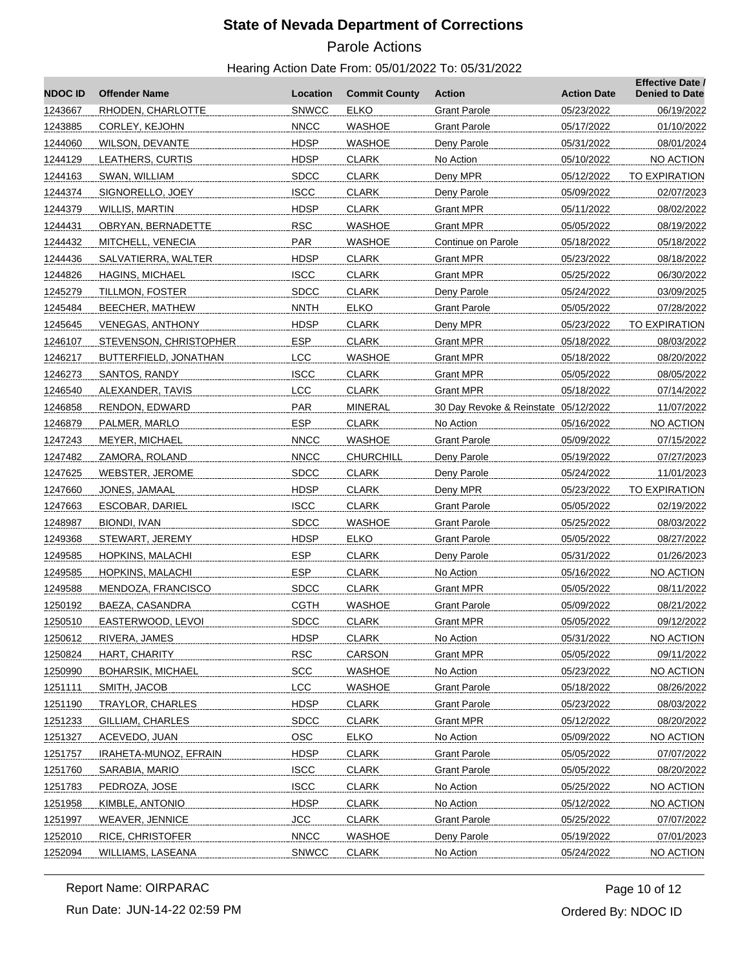# Parole Actions

| <b>NDOCID</b> | <b>Offender Name</b>     | Location     | <b>Commit County</b> | Action                               | <b>Action Date</b> | <b>Effective Date /</b><br><b>Denied to Date</b> |
|---------------|--------------------------|--------------|----------------------|--------------------------------------|--------------------|--------------------------------------------------|
| 1243667       | RHODEN, CHARLOTTE        | <b>SNWCC</b> | <b>ELKO</b>          | <b>Grant Parole</b>                  | 05/23/2022         | 06/19/2022                                       |
| 1243885       | CORLEY, KEJOHN           | <b>NNCC</b>  | <b>WASHOE</b>        | <b>Grant Parole</b>                  | 05/17/2022         | 01/10/2022                                       |
| 1244060       | <b>WILSON, DEVANTE</b>   | <b>HDSP</b>  | WASHOE               | Deny Parole                          | 05/31/2022         | 08/01/2024                                       |
| 1244129       | LEATHERS, CURTIS         | <b>HDSP</b>  | <b>CLARK</b>         | No Action                            | 05/10/2022         | <b>NO ACTION</b>                                 |
| 1244163       | SWAN, WILLIAM            | <b>SDCC</b>  | <b>CLARK</b>         | Deny MPR                             | 05/12/2022         | <b>TO EXPIRATION</b>                             |
| 1244374       | SIGNORELLO, JOEY         | <b>ISCC</b>  | <b>CLARK</b>         | Deny Parole                          | 05/09/2022         | 02/07/2023                                       |
| 1244379       | <b>WILLIS, MARTIN</b>    | <b>HDSP</b>  | <b>CLARK</b>         | <b>Grant MPR</b>                     | 05/11/2022         | 08/02/2022                                       |
| 1244431       | OBRYAN, BERNADETTE       | <b>RSC</b>   | <b>WASHOE</b>        | Grant MPR                            | 05/05/2022         | 08/19/2022                                       |
| 1244432       | MITCHELL, VENECIA        | <b>PAR</b>   | <b>WASHOE</b>        | Continue on Parole                   | 05/18/2022         | 05/18/2022                                       |
| 1244436       | SALVATIERRA, WALTER      | <b>HDSP</b>  | <b>CLARK</b>         | <b>Grant MPR</b>                     | 05/23/2022         | 08/18/2022                                       |
| 1244826       | <b>HAGINS, MICHAEL</b>   | <b>ISCC</b>  | <b>CLARK</b>         | <b>Grant MPR</b>                     | 05/25/2022         | 06/30/2022                                       |
| 1245279       | TILLMON, FOSTER          | <b>SDCC</b>  | <b>CLARK</b>         | Deny Parole                          | 05/24/2022         | 03/09/2025                                       |
| 1245484       | BEECHER, MATHEW          | <b>NNTH</b>  | ELKO                 | <b>Grant Parole</b>                  | 05/05/2022         | 07/28/2022                                       |
| 1245645       | <b>VENEGAS, ANTHONY</b>  | <b>HDSP</b>  | <b>CLARK</b>         | Deny MPR                             | 05/23/2022         | <b>TO EXPIRATION</b>                             |
| 1246107       | STEVENSON, CHRISTOPHER   | <b>ESP</b>   | <b>CLARK</b>         | Grant MPR                            | 05/18/2022         | 08/03/2022                                       |
| 1246217       | BUTTERFIELD, JONATHAN    | <b>LCC</b>   | <b>WASHOE</b>        | <b>Grant MPR</b>                     | 05/18/2022         | 08/20/2022                                       |
| 1246273       | SANTOS, RANDY            | <b>ISCC</b>  | <b>CLARK</b>         | <b>Grant MPR</b>                     | 05/05/2022         | 08/05/2022                                       |
| 1246540       | ALEXANDER, TAVIS         | LCC          | <b>CLARK</b>         | <b>Grant MPR</b>                     | 05/18/2022         | 07/14/2022                                       |
| 1246858       | RENDON, EDWARD           | <b>PAR</b>   | MINERAL              | 30 Day Revoke & Reinstate 05/12/2022 |                    | 11/07/2022                                       |
| 1246879       | PALMER, MARLO            | <b>ESP</b>   | <b>CLARK</b>         | No Action                            | 05/16/2022         | <b>NO ACTION</b>                                 |
| 1247243       | MEYER, MICHAEL           | <b>NNCC</b>  | <b>WASHOE</b>        | <b>Grant Parole</b>                  | 05/09/2022         | 07/15/2022                                       |
| 1247482       | ZAMORA, ROLAND           | <b>NNCC</b>  | <b>CHURCHILL</b>     | Deny Parole                          | 05/19/2022         | 07/27/2023                                       |
| 1247625       | <b>WEBSTER, JEROME</b>   | <b>SDCC</b>  | <b>CLARK</b>         | Deny Parole                          | 05/24/2022         | 11/01/2023                                       |
| 1247660       | JONES, JAMAAL            | <b>HDSP</b>  | <b>CLARK</b>         | Deny MPR                             | 05/23/2022         | TO EXPIRATION                                    |
| 1247663       | ESCOBAR, DARIEL          | <b>ISCC</b>  | <b>CLARK</b>         | <b>Grant Parole</b>                  | 05/05/2022         | 02/19/2022                                       |
| 1248987       | BIONDI, IVAN             | <b>SDCC</b>  | <b>WASHOE</b>        | <b>Grant Parole</b>                  | 05/25/2022         | 08/03/2022                                       |
| 1249368       | STEWART, JEREMY          | <b>HDSP</b>  | <b>ELKO</b>          | <b>Grant Parole</b>                  | 05/05/2022         | 08/27/2022                                       |
| 1249585       | <b>HOPKINS, MALACHI</b>  | <b>ESP</b>   | <b>CLARK</b>         | Deny Parole                          | 05/31/2022         | 01/26/2023                                       |
| 1249585       | HOPKINS, MALACHI         | <b>ESP</b>   | <b>CLARK</b>         | No Action                            | 05/16/2022         | NO ACTION                                        |
| 1249588       | MENDOZA, FRANCISCO       | <b>SDCC</b>  | <b>CLARK</b>         | <b>Grant MPR</b>                     | 05/05/2022         | 08/11/2022                                       |
| 1250192       | BAEZA, CASANDRA          | <b>CGTH</b>  | <b>WASHOE</b>        | <b>Grant Parole</b>                  | 05/09/2022         | 08/21/2022                                       |
| 1250510       | EASTERWOOD, LEVOI        | <b>SDCC</b>  | CLARK                | Grant MPR                            | 05/05/2022         | 09/12/2022                                       |
| 1250612       | RIVERA, JAMES            | <b>HDSP</b>  | <b>CLARK</b>         | No Action                            | 05/31/2022         | NO ACTION                                        |
| 1250824       | HART, CHARITY            | <b>RSC</b>   | CARSON               | <b>Grant MPR</b>                     | 05/05/2022         | 09/11/2022                                       |
| 1250990       | <b>BOHARSIK, MICHAEL</b> | <b>SCC</b>   | <b>WASHOE</b>        | No Action                            | 05/23/2022         | NO ACTION                                        |
| 1251111       | SMITH, JACOB             | LCC          | <b>WASHOE</b>        | <b>Grant Parole</b>                  | 05/18/2022         | 08/26/2022                                       |
| 1251190       | <b>TRAYLOR, CHARLES</b>  | <b>HDSP</b>  | <b>CLARK</b>         | <b>Grant Parole</b>                  | 05/23/2022         | 08/03/2022                                       |
| 1251233       | GILLIAM, CHARLES         | <b>SDCC</b>  | <b>CLARK</b>         | <b>Grant MPR</b>                     | 05/12/2022         | 08/20/2022                                       |
| 1251327       | ACEVEDO, JUAN            | OSC          | <b>ELKO</b>          | No Action                            | 05/09/2022         | NO ACTION                                        |
| 1251757       | IRAHETA-MUNOZ, EFRAIN    | <b>HDSP</b>  | <b>CLARK</b>         | <b>Grant Parole</b>                  | 05/05/2022         | 07/07/2022                                       |
| 1251760       | SARABIA, MARIO           | <b>ISCC</b>  | <b>CLARK</b>         | <b>Grant Parole</b>                  | 05/05/2022         | 08/20/2022                                       |
| 1251783       | PEDROZA, JOSE            | <b>ISCC</b>  | <b>CLARK</b>         | No Action                            | 05/25/2022         | NO ACTION                                        |
| 1251958       | KIMBLE, ANTONIO          | <b>HDSP</b>  | <b>CLARK</b>         | No Action                            | 05/12/2022         | NO ACTION                                        |
| 1251997       | <b>WEAVER, JENNICE</b>   | <b>JCC</b>   | <b>CLARK</b>         | <b>Grant Parole</b>                  | 05/25/2022         | 07/07/2022                                       |
| 1252010       | <b>RICE, CHRISTOFER</b>  | <b>NNCC</b>  | <b>WASHOE</b>        | Deny Parole                          | 05/19/2022         | 07/01/2023                                       |
| 1252094       | WILLIAMS, LASEANA        | <b>SNWCC</b> | <b>CLARK</b>         | No Action                            | 05/24/2022         | NO ACTION                                        |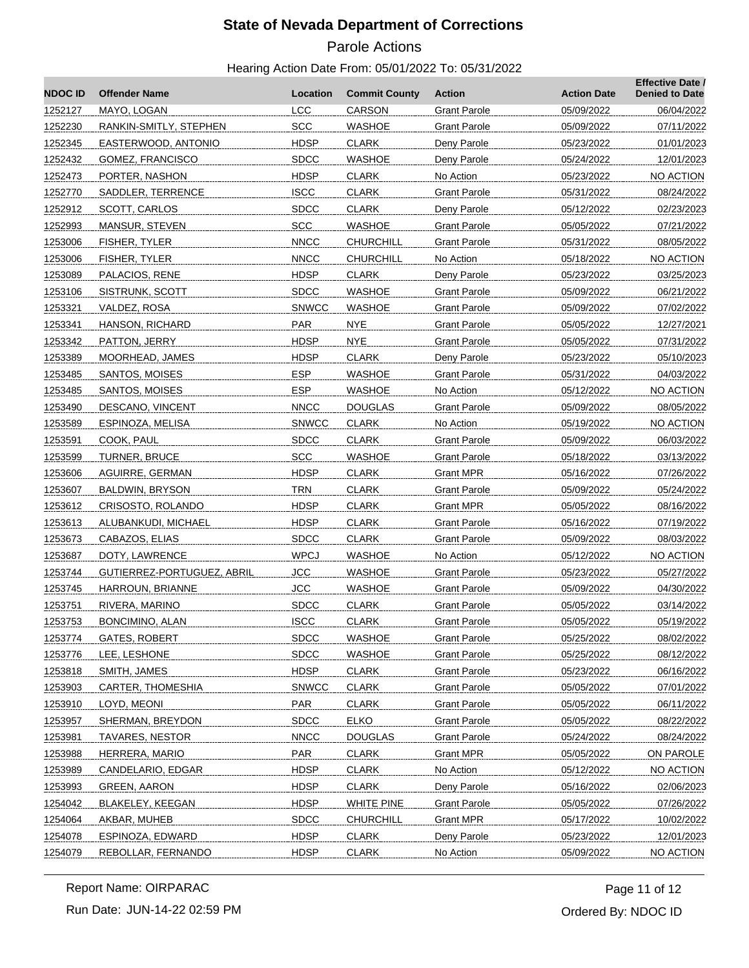# Parole Actions

| <b>NDOC ID</b> | <b>Offender Name</b>       | Location     | <b>Commit County</b> | <b>Action</b>       | <b>Action Date</b> | <b>Effective Date /</b><br><b>Denied to Date</b> |
|----------------|----------------------------|--------------|----------------------|---------------------|--------------------|--------------------------------------------------|
| 1252127        | MAYO, LOGAN                | <b>LCC</b>   | CARSON               | <b>Grant Parole</b> | 05/09/2022         | 06/04/2022                                       |
| 1252230        | RANKIN-SMITLY, STEPHEN     | <b>SCC</b>   | <b>WASHOE</b>        | <b>Grant Parole</b> | 05/09/2022         | 07/11/2022                                       |
| 1252345        | EASTERWOOD, ANTONIO        | <b>HDSP</b>  | <b>CLARK</b>         | Deny Parole         | 05/23/2022         | 01/01/2023                                       |
| 1252432        | GOMEZ, FRANCISCO           | <b>SDCC</b>  | WASHOE               | Deny Parole         | 05/24/2022         | 12/01/2023                                       |
| 1252473        | PORTER, NASHON             | <b>HDSP</b>  | <b>CLARK</b>         | No Action           | 05/23/2022         | NO ACTION                                        |
| 1252770        | SADDLER, TERRENCE          | <b>ISCC</b>  | <b>CLARK</b>         | <b>Grant Parole</b> | 05/31/2022         | 08/24/2022                                       |
| 1252912        | SCOTT, CARLOS              | <b>SDCC</b>  | <b>CLARK</b>         | Deny Parole         | 05/12/2022         | 02/23/2023                                       |
| 1252993        | MANSUR, STEVEN             | SCC          | WASHOE               | <b>Grant Parole</b> | 05/05/2022         | 07/21/2022                                       |
| 1253006        | FISHER, TYLER              | <b>NNCC</b>  | CHURCHILL            | <b>Grant Parole</b> | 05/31/2022         | 08/05/2022                                       |
| 1253006        | FISHER, TYLER              | <b>NNCC</b>  | <b>CHURCHILL</b>     | No Action           | 05/18/2022         | NO ACTION                                        |
| 1253089        | PALACIOS, RENE             | <b>HDSP</b>  | <b>CLARK</b>         | Deny Parole         | 05/23/2022         | 03/25/2023                                       |
| 1253106        | SISTRUNK, SCOTT            | <b>SDCC</b>  | WASHOE               | <b>Grant Parole</b> | 05/09/2022         | 06/21/2022                                       |
| 1253321        | VALDEZ, ROSA               | <b>SNWCC</b> | <b>WASHOE</b>        | <b>Grant Parole</b> | 05/09/2022         | 07/02/2022                                       |
| 1253341        | HANSON, RICHARD            | <b>PAR</b>   | <b>NYE</b>           | <b>Grant Parole</b> | 05/05/2022         | 12/27/2021                                       |
| 1253342        | PATTON, JERRY              | <b>HDSP</b>  | <b>NYE</b>           | <b>Grant Parole</b> | 05/05/2022         | 07/31/2022                                       |
| 1253389        | MOORHEAD, JAMES            | <b>HDSP</b>  | <b>CLARK</b>         | Deny Parole         | 05/23/2022         | 05/10/2023                                       |
| 1253485        | SANTOS, MOISES             | <b>ESP</b>   | <b>WASHOE</b>        | <b>Grant Parole</b> | 05/31/2022         | 04/03/2022                                       |
| 1253485        | SANTOS, MOISES             | <b>ESP</b>   | <b>WASHOE</b>        | No Action           | 05/12/2022         | NO ACTION                                        |
| 1253490        | DESCANO, VINCENT           | <b>NNCC</b>  | <b>DOUGLAS</b>       | <b>Grant Parole</b> | 05/09/2022         | 08/05/2022                                       |
| 1253589        | ESPINOZA, MELISA           | <b>SNWCC</b> | <b>CLARK</b>         | No Action           | 05/19/2022         | NO ACTION                                        |
| 1253591        | COOK, PAUL                 | <b>SDCC</b>  | <b>CLARK</b>         | <b>Grant Parole</b> | 05/09/2022         | 06/03/2022                                       |
| 1253599        | <b>TURNER, BRUCE</b>       | <b>SCC</b>   | <b>WASHOE</b>        | <b>Grant Parole</b> | 05/18/2022         | 03/13/2022                                       |
| 1253606        | AGUIRRE, GERMAN            | <b>HDSP</b>  | <b>CLARK</b>         | <b>Grant MPR</b>    | 05/16/2022         | 07/26/2022                                       |
| 1253607        | BALDWIN, BRYSON            | <b>TRN</b>   | <b>CLARK</b>         | <b>Grant Parole</b> | 05/09/2022         | 05/24/2022                                       |
| 1253612        | CRISOSTO, ROLANDO          | <b>HDSP</b>  | <b>CLARK</b>         | Grant MPR           | 05/05/2022         | 08/16/2022                                       |
| 1253613        | ALUBANKUDI, MICHAEL        | <b>HDSP</b>  | <b>CLARK</b>         | <b>Grant Parole</b> | 05/16/2022         | 07/19/2022                                       |
| 1253673        | CABAZOS, ELIAS             | <b>SDCC</b>  | <b>CLARK</b>         | Grant Parole        | 05/09/2022         | 08/03/2022                                       |
| 1253687        | DOTY, LAWRENCE             | <b>WPCJ</b>  | WASHOE               | No Action           | 05/12/2022         | NO ACTION                                        |
| 1253744        | GUTIERREZ-PORTUGUEZ, ABRIL | <b>JCC</b>   | <b>WASHOE</b>        | <b>Grant Parole</b> | 05/23/2022         | 05/27/2022                                       |
| 1253745        | HARROUN, BRIANNE           | <b>JCC</b>   | WASHOE               | <b>Grant Parole</b> | 05/09/2022         | 04/30/2022                                       |
| 1253751        | RIVERA, MARINO             | <b>SDCC</b>  | <b>CLARK</b>         | <b>Grant Parole</b> | 05/05/2022         | 03/14/2022                                       |
| 1253753        | BONCIMINO, ALAN            | <b>ISCC</b>  | <b>CLARK</b>         | <b>Grant Parole</b> | 05/05/2022         | 05/19/2022                                       |
| 1253774        | GATES, ROBERT              | <b>SDCC</b>  | <b>WASHOE</b>        | <b>Grant Parole</b> | 05/25/2022         | 08/02/2022                                       |
| 1253776        | LEE, LESHONE               | <b>SDCC</b>  | <b>WASHOE</b>        | <b>Grant Parole</b> | 05/25/2022         | 08/12/2022                                       |
| 1253818        | SMITH, JAMES               | <b>HDSP</b>  | <b>CLARK</b>         | <b>Grant Parole</b> | 05/23/2022         | 06/16/2022                                       |
| 1253903        | CARTER, THOMESHIA          | <b>SNWCC</b> | <b>CLARK</b>         | <b>Grant Parole</b> | 05/05/2022         | 07/01/2022                                       |
| 1253910        | LOYD, MEONI                | PAR          | <b>CLARK</b>         | <b>Grant Parole</b> | 05/05/2022         | 06/11/2022                                       |
| 1253957        | SHERMAN, BREYDON           | <b>SDCC</b>  | <b>ELKO</b>          | <b>Grant Parole</b> | 05/05/2022         | 08/22/2022                                       |
| 1253981        | <b>TAVARES, NESTOR</b>     | <b>NNCC</b>  | <b>DOUGLAS</b>       | Grant Parole        | 05/24/2022         | 08/24/2022                                       |
| 1253988        | HERRERA, MARIO             | <b>PAR</b>   | <b>CLARK</b>         | <b>Grant MPR</b>    | 05/05/2022         | ON PAROLE                                        |
| 1253989        | CANDELARIO, EDGAR          | <b>HDSP</b>  | <b>CLARK</b>         | No Action           | 05/12/2022         | NO ACTION                                        |
| 1253993        | GREEN, AARON               | <b>HDSP</b>  | <b>CLARK</b>         | Deny Parole         | 05/16/2022         | 02/06/2023                                       |
| 1254042        | BLAKELEY, KEEGAN           | <b>HDSP</b>  | <b>WHITE PINE</b>    | Grant Parole        | 05/05/2022         | 07/26/2022                                       |
| 1254064        | AKBAR, MUHEB               | <b>SDCC</b>  | CHURCHILL            | <b>Grant MPR</b>    | 05/17/2022         | 10/02/2022                                       |
| 1254078        | ESPINOZA, EDWARD           | <b>HDSP</b>  | <b>CLARK</b>         | Deny Parole         | 05/23/2022         | 12/01/2023                                       |
| 1254079        | REBOLLAR, FERNANDO         | <b>HDSP</b>  | <b>CLARK</b>         | No Action           | 05/09/2022         | NO ACTION                                        |